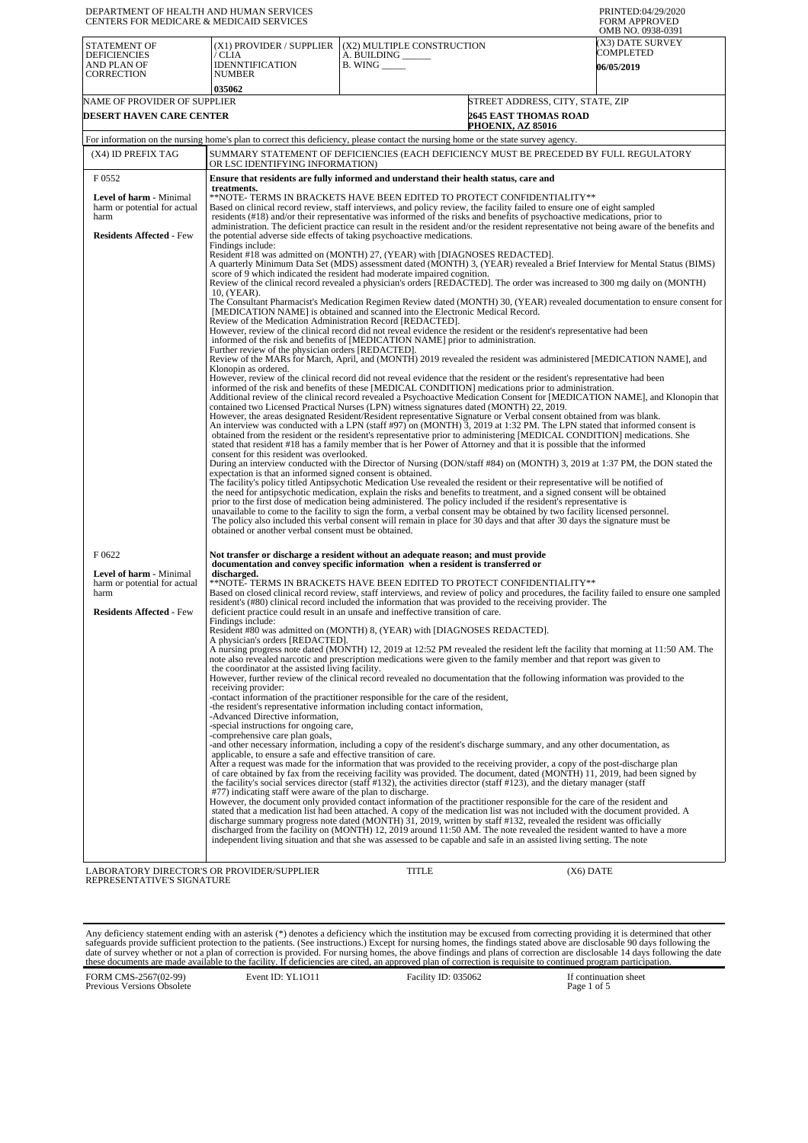| (X3) DATE SURVEY<br><b>STATEMENT OF</b><br>(X1) PROVIDER / SUPPLIER<br>(X2) MULTIPLE CONSTRUCTION<br>COMPLETED<br><b>DEFICIENCIES</b><br>A. BUILDING ______<br>/ CLIA<br>AND PLAN OF<br><b>IDENNTIFICATION</b><br>$B.$ WING $\_\_\_\_\_\_\_\$<br>06/05/2019<br><b>CORRECTION</b><br><b>NUMBER</b><br>035062<br>NAME OF PROVIDER OF SUPPLIER<br>STREET ADDRESS, CITY, STATE, ZIP<br><b>DESERT HAVEN CARE CENTER</b><br><b>2645 EAST THOMAS ROAD</b><br>PHOENIX, AZ 85016<br>For information on the nursing home's plan to correct this deficiency, please contact the nursing home or the state survey agency.<br>(X4) ID PREFIX TAG<br>SUMMARY STATEMENT OF DEFICIENCIES (EACH DEFICIENCY MUST BE PRECEDED BY FULL REGULATORY<br>OR LSC IDENTIFYING INFORMATION)<br>F0552<br>Ensure that residents are fully informed and understand their health status, care and<br>treatments.<br>**NOTE- TERMS IN BRACKETS HAVE BEEN EDITED TO PROTECT CONFIDENTIALITY**<br>Level of harm - Minimal<br>harm or potential for actual<br>Based on clinical record review, staff interviews, and policy review, the facility failed to ensure one of eight sampled<br>residents (#18) and/or their representative was informed of the risks and benefits of psychoactive medications, prior to<br>harm<br>administration. The deficient practice can result in the resident and/or the resident representative not being aware of the benefits and<br>the potential adverse side effects of taking psychoactive medications.<br><b>Residents Affected - Few</b><br>Findings include:<br>Resident #18 was admitted on (MONTH) 27, (YEAR) with [DIAGNOSES REDACTED].<br>A quarterly Minimum Data Set (MDS) assessment dated (MONTH) 3, (YEAR) revealed a Brief Interview for Mental Status (BIMS)<br>score of 9 which indicated the resident had moderate impaired cognition.<br>Review of the clinical record revealed a physician's orders [REDACTED]. The order was increased to 300 mg daily on (MONTH)<br>10, (YEAR).<br>The Consultant Pharmacist's Medication Regimen Review dated (MONTH) 30, (YEAR) revealed documentation to ensure consent for<br>[MEDICATION NAME] is obtained and scanned into the Electronic Medical Record.<br>Review of the Medication Administration Record [REDACTED].<br>However, review of the clinical record did not reveal evidence the resident or the resident's representative had been<br>informed of the risk and benefits of [MEDICATION NAME] prior to administration.<br>Further review of the physician orders [REDACTED].<br>Review of the MARs for March, April, and (MONTH) 2019 revealed the resident was administered [MEDICATION NAME], and<br>Klonopin as ordered.<br>However, review of the clinical record did not reveal evidence that the resident or the resident's representative had been<br>informed of the risk and benefits of these [MEDICAL CONDITION] medications prior to administration.<br>Additional review of the clinical record revealed a Psychoactive Medication Consent for [MEDICATION NAME], and Klonopin that<br>contained two Licensed Practical Nurses (LPN) witness signatures dated (MONTH) 22, 2019.<br>However, the areas designated Resident/Resident representative Signature or Verbal consent obtained from was blank.<br>An interview was conducted with a LPN (staff #97) on (MONTH) 3, 2019 at 1:32 PM. The LPN stated that informed consent is<br>obtained from the resident or the resident's representative prior to administering [MEDICAL CONDITION] medications. She<br>stated that resident #18 has a family member that is her Power of Attorney and that it is possible that the informed<br>consent for this resident was overlooked.<br>During an interview conducted with the Director of Nursing (DON/staff #84) on (MONTH) 3, 2019 at 1:37 PM, the DON stated the<br>expectation is that an informed signed consent is obtained.<br>The facility's policy titled Antipsychotic Medication Use revealed the resident or their representative will be notified of<br>the need for antipsychotic medication, explain the risks and benefits to treatment, and a signed consent will be obtained<br>prior to the first dose of medication being administered. The policy included if the resident's representative is<br>unavailable to come to the facility to sign the form, a verbal consent may be obtained by two facility licensed personnel.<br>The policy also included this verbal consent will remain in place for 30 days and that after 30 days the signature must be<br>obtained or another verbal consent must be obtained.<br>F0622<br>Not transfer or discharge a resident without an adequate reason; and must provide<br>documentation and convey specific information when a resident is transferred or<br>discharged.<br><b>Level of harm - Minimal</b><br>**NOTE- TERMS IN BRACKETS HAVE BEEN EDITED TO PROTECT CONFIDENTIALITY**<br>harm or potential for actual<br>Based on closed clinical record review, staff interviews, and review of policy and procedures, the facility failed to ensure one sampled<br>harm<br>resident's (#80) clinical record included the information that was provided to the receiving provider. The<br>deficient practice could result in an unsafe and ineffective transition of care.<br><b>Residents Affected - Few</b><br>Findings include:<br>Resident #80 was admitted on (MONTH) 8, (YEAR) with [DIAGNOSES REDACTED].<br>A physician's orders [REDACTED].<br>A nursing progress note dated (MONTH) 12, 2019 at 12:52 PM revealed the resident left the facility that morning at 11:50 AM. The<br>note also revealed narcotic and prescription medications were given to the family member and that report was given to<br>the coordinator at the assisted living facility.<br>However, further review of the clinical record revealed no documentation that the following information was provided to the<br>receiving provider:<br>-contact information of the practitioner responsible for the care of the resident,<br>-the resident's representative information including contact information,<br>-Advanced Directive information.<br>-special instructions for ongoing care,<br>-comprehensive care plan goals,<br>and other necessary information, including a copy of the resident's discharge summary, and any other documentation, as<br>applicable, to ensure a safe and effective transition of care.<br>After a request was made for the information that was provided to the receiving provider, a copy of the post-discharge plan<br>of care obtained by fax from the receiving facility was provided. The document, dated (MONTH) 11, 2019, had been signed by<br>the facility's social services director (staff $\#132$ ), the activities director (staff $\#123$ ), and the dietary manager (staff<br>#77) indicating staff were aware of the plan to discharge.<br>However, the document only provided contact information of the practitioner responsible for the care of the resident and<br>stated that a medication list had been attached. A copy of the medication list was not included with the document provided. A<br>discharge summary progress note dated (MONTH) 31, 2019, written by staff #132, revealed the resident was officially<br>discharged from the facility on (MONTH) 12, 2019 around 11:50 AM. The note revealed the resident wanted to have a more<br>independent living situation and that she was assessed to be capable and safe in an assisted living setting. The note<br>LABORATORY DIRECTOR'S OR PROVIDER/SUPPLIER<br>TITLE<br>$(X6)$ DATE<br>REPRESENTATIVE'S SIGNATURE | DEPARTMENT OF HEALTH AND HUMAN SERVICES<br>CENTERS FOR MEDICARE & MEDICAID SERVICES |  | PRINTED:04/29/2020<br><b>FORM APPROVED</b><br>OMB NO. 0938-0391 |
|----------------------------------------------------------------------------------------------------------------------------------------------------------------------------------------------------------------------------------------------------------------------------------------------------------------------------------------------------------------------------------------------------------------------------------------------------------------------------------------------------------------------------------------------------------------------------------------------------------------------------------------------------------------------------------------------------------------------------------------------------------------------------------------------------------------------------------------------------------------------------------------------------------------------------------------------------------------------------------------------------------------------------------------------------------------------------------------------------------------------------------------------------------------------------------------------------------------------------------------------------------------------------------------------------------------------------------------------------------------------------------------------------------------------------------------------------------------------------------------------------------------------------------------------------------------------------------------------------------------------------------------------------------------------------------------------------------------------------------------------------------------------------------------------------------------------------------------------------------------------------------------------------------------------------------------------------------------------------------------------------------------------------------------------------------------------------------------------------------------------------------------------------------------------------------------------------------------------------------------------------------------------------------------------------------------------------------------------------------------------------------------------------------------------------------------------------------------------------------------------------------------------------------------------------------------------------------------------------------------------------------------------------------------------------------------------------------------------------------------------------------------------------------------------------------------------------------------------------------------------------------------------------------------------------------------------------------------------------------------------------------------------------------------------------------------------------------------------------------------------------------------------------------------------------------------------------------------------------------------------------------------------------------------------------------------------------------------------------------------------------------------------------------------------------------------------------------------------------------------------------------------------------------------------------------------------------------------------------------------------------------------------------------------------------------------------------------------------------------------------------------------------------------------------------------------------------------------------------------------------------------------------------------------------------------------------------------------------------------------------------------------------------------------------------------------------------------------------------------------------------------------------------------------------------------------------------------------------------------------------------------------------------------------------------------------------------------------------------------------------------------------------------------------------------------------------------------------------------------------------------------------------------------------------------------------------------------------------------------------------------------------------------------------------------------------------------------------------------------------------------------------------------------------------------------------------------------------------------------------------------------------------------------------------------------------------------------------------------------------------------------------------------------------------------------------------------------------------------------------------------------------------------------------------------------------------------------------------------------------------------------------------------------------------------------------------------------------------------------------------------------------------------------------------------------------------------------------------------------------------------------------------------------------------------------------------------------------------------------------------------------------------------------------------------------------------------------------------------------------------------------------------------------------------------------------------------------------------------------------------------------------------------------------------------------------------------------------------------------------------------------------------------------------------------------------------------------------------------------------------------------------------------------------------------------------------------------------------------------------------------------------------------------------------------------------------------------------------------------------------------------------------------------------------------------------------------------------------------------------------------------------------------------------------------------------------------------------------------------------------------------------------------------------------------------------------------------------------------------------------------------------------------------------------------------------------------------------------------------------------------------------------------------------------------------------------------------------------------------------------------------------------------------------------------------------------------------------------------------------------------------------------------------------------------------------------------------------------------------------------------------------------------------------------------------------------------------------------------------------------------------------------------------------------------------------------------------------------------------------------------------------------------------------------------------------------------------------------------------------------------------------------------------------------------------|-------------------------------------------------------------------------------------|--|-----------------------------------------------------------------|
|                                                                                                                                                                                                                                                                                                                                                                                                                                                                                                                                                                                                                                                                                                                                                                                                                                                                                                                                                                                                                                                                                                                                                                                                                                                                                                                                                                                                                                                                                                                                                                                                                                                                                                                                                                                                                                                                                                                                                                                                                                                                                                                                                                                                                                                                                                                                                                                                                                                                                                                                                                                                                                                                                                                                                                                                                                                                                                                                                                                                                                                                                                                                                                                                                                                                                                                                                                                                                                                                                                                                                                                                                                                                                                                                                                                                                                                                                                                                                                                                                                                                                                                                                                                                                                                                                                                                                                                                                                                                                                                                                                                                                                                                                                                                                                                                                                                                                                                                                                                                                                                                                                                                                                                                                                                                                                                                                                                                                                                                                                                                                                                                                                                                                                                                                                                                                                                                                                                                                                                                                                                                                                                                                                                                                                                                                                                                                                                                                                                                                                                                                                                                                                                                                                                                                                                                                                                                                                                                                                                                                                                                                                                                                                                                                                                                                                                                                                                                                                                                                                                                                                                                                                                                                  |                                                                                     |  |                                                                 |
|                                                                                                                                                                                                                                                                                                                                                                                                                                                                                                                                                                                                                                                                                                                                                                                                                                                                                                                                                                                                                                                                                                                                                                                                                                                                                                                                                                                                                                                                                                                                                                                                                                                                                                                                                                                                                                                                                                                                                                                                                                                                                                                                                                                                                                                                                                                                                                                                                                                                                                                                                                                                                                                                                                                                                                                                                                                                                                                                                                                                                                                                                                                                                                                                                                                                                                                                                                                                                                                                                                                                                                                                                                                                                                                                                                                                                                                                                                                                                                                                                                                                                                                                                                                                                                                                                                                                                                                                                                                                                                                                                                                                                                                                                                                                                                                                                                                                                                                                                                                                                                                                                                                                                                                                                                                                                                                                                                                                                                                                                                                                                                                                                                                                                                                                                                                                                                                                                                                                                                                                                                                                                                                                                                                                                                                                                                                                                                                                                                                                                                                                                                                                                                                                                                                                                                                                                                                                                                                                                                                                                                                                                                                                                                                                                                                                                                                                                                                                                                                                                                                                                                                                                                                                                  |                                                                                     |  |                                                                 |
|                                                                                                                                                                                                                                                                                                                                                                                                                                                                                                                                                                                                                                                                                                                                                                                                                                                                                                                                                                                                                                                                                                                                                                                                                                                                                                                                                                                                                                                                                                                                                                                                                                                                                                                                                                                                                                                                                                                                                                                                                                                                                                                                                                                                                                                                                                                                                                                                                                                                                                                                                                                                                                                                                                                                                                                                                                                                                                                                                                                                                                                                                                                                                                                                                                                                                                                                                                                                                                                                                                                                                                                                                                                                                                                                                                                                                                                                                                                                                                                                                                                                                                                                                                                                                                                                                                                                                                                                                                                                                                                                                                                                                                                                                                                                                                                                                                                                                                                                                                                                                                                                                                                                                                                                                                                                                                                                                                                                                                                                                                                                                                                                                                                                                                                                                                                                                                                                                                                                                                                                                                                                                                                                                                                                                                                                                                                                                                                                                                                                                                                                                                                                                                                                                                                                                                                                                                                                                                                                                                                                                                                                                                                                                                                                                                                                                                                                                                                                                                                                                                                                                                                                                                                                                  |                                                                                     |  |                                                                 |
|                                                                                                                                                                                                                                                                                                                                                                                                                                                                                                                                                                                                                                                                                                                                                                                                                                                                                                                                                                                                                                                                                                                                                                                                                                                                                                                                                                                                                                                                                                                                                                                                                                                                                                                                                                                                                                                                                                                                                                                                                                                                                                                                                                                                                                                                                                                                                                                                                                                                                                                                                                                                                                                                                                                                                                                                                                                                                                                                                                                                                                                                                                                                                                                                                                                                                                                                                                                                                                                                                                                                                                                                                                                                                                                                                                                                                                                                                                                                                                                                                                                                                                                                                                                                                                                                                                                                                                                                                                                                                                                                                                                                                                                                                                                                                                                                                                                                                                                                                                                                                                                                                                                                                                                                                                                                                                                                                                                                                                                                                                                                                                                                                                                                                                                                                                                                                                                                                                                                                                                                                                                                                                                                                                                                                                                                                                                                                                                                                                                                                                                                                                                                                                                                                                                                                                                                                                                                                                                                                                                                                                                                                                                                                                                                                                                                                                                                                                                                                                                                                                                                                                                                                                                                                  |                                                                                     |  |                                                                 |
|                                                                                                                                                                                                                                                                                                                                                                                                                                                                                                                                                                                                                                                                                                                                                                                                                                                                                                                                                                                                                                                                                                                                                                                                                                                                                                                                                                                                                                                                                                                                                                                                                                                                                                                                                                                                                                                                                                                                                                                                                                                                                                                                                                                                                                                                                                                                                                                                                                                                                                                                                                                                                                                                                                                                                                                                                                                                                                                                                                                                                                                                                                                                                                                                                                                                                                                                                                                                                                                                                                                                                                                                                                                                                                                                                                                                                                                                                                                                                                                                                                                                                                                                                                                                                                                                                                                                                                                                                                                                                                                                                                                                                                                                                                                                                                                                                                                                                                                                                                                                                                                                                                                                                                                                                                                                                                                                                                                                                                                                                                                                                                                                                                                                                                                                                                                                                                                                                                                                                                                                                                                                                                                                                                                                                                                                                                                                                                                                                                                                                                                                                                                                                                                                                                                                                                                                                                                                                                                                                                                                                                                                                                                                                                                                                                                                                                                                                                                                                                                                                                                                                                                                                                                                                  |                                                                                     |  |                                                                 |
|                                                                                                                                                                                                                                                                                                                                                                                                                                                                                                                                                                                                                                                                                                                                                                                                                                                                                                                                                                                                                                                                                                                                                                                                                                                                                                                                                                                                                                                                                                                                                                                                                                                                                                                                                                                                                                                                                                                                                                                                                                                                                                                                                                                                                                                                                                                                                                                                                                                                                                                                                                                                                                                                                                                                                                                                                                                                                                                                                                                                                                                                                                                                                                                                                                                                                                                                                                                                                                                                                                                                                                                                                                                                                                                                                                                                                                                                                                                                                                                                                                                                                                                                                                                                                                                                                                                                                                                                                                                                                                                                                                                                                                                                                                                                                                                                                                                                                                                                                                                                                                                                                                                                                                                                                                                                                                                                                                                                                                                                                                                                                                                                                                                                                                                                                                                                                                                                                                                                                                                                                                                                                                                                                                                                                                                                                                                                                                                                                                                                                                                                                                                                                                                                                                                                                                                                                                                                                                                                                                                                                                                                                                                                                                                                                                                                                                                                                                                                                                                                                                                                                                                                                                                                                  |                                                                                     |  |                                                                 |
|                                                                                                                                                                                                                                                                                                                                                                                                                                                                                                                                                                                                                                                                                                                                                                                                                                                                                                                                                                                                                                                                                                                                                                                                                                                                                                                                                                                                                                                                                                                                                                                                                                                                                                                                                                                                                                                                                                                                                                                                                                                                                                                                                                                                                                                                                                                                                                                                                                                                                                                                                                                                                                                                                                                                                                                                                                                                                                                                                                                                                                                                                                                                                                                                                                                                                                                                                                                                                                                                                                                                                                                                                                                                                                                                                                                                                                                                                                                                                                                                                                                                                                                                                                                                                                                                                                                                                                                                                                                                                                                                                                                                                                                                                                                                                                                                                                                                                                                                                                                                                                                                                                                                                                                                                                                                                                                                                                                                                                                                                                                                                                                                                                                                                                                                                                                                                                                                                                                                                                                                                                                                                                                                                                                                                                                                                                                                                                                                                                                                                                                                                                                                                                                                                                                                                                                                                                                                                                                                                                                                                                                                                                                                                                                                                                                                                                                                                                                                                                                                                                                                                                                                                                                                                  |                                                                                     |  |                                                                 |
|                                                                                                                                                                                                                                                                                                                                                                                                                                                                                                                                                                                                                                                                                                                                                                                                                                                                                                                                                                                                                                                                                                                                                                                                                                                                                                                                                                                                                                                                                                                                                                                                                                                                                                                                                                                                                                                                                                                                                                                                                                                                                                                                                                                                                                                                                                                                                                                                                                                                                                                                                                                                                                                                                                                                                                                                                                                                                                                                                                                                                                                                                                                                                                                                                                                                                                                                                                                                                                                                                                                                                                                                                                                                                                                                                                                                                                                                                                                                                                                                                                                                                                                                                                                                                                                                                                                                                                                                                                                                                                                                                                                                                                                                                                                                                                                                                                                                                                                                                                                                                                                                                                                                                                                                                                                                                                                                                                                                                                                                                                                                                                                                                                                                                                                                                                                                                                                                                                                                                                                                                                                                                                                                                                                                                                                                                                                                                                                                                                                                                                                                                                                                                                                                                                                                                                                                                                                                                                                                                                                                                                                                                                                                                                                                                                                                                                                                                                                                                                                                                                                                                                                                                                                                                  |                                                                                     |  |                                                                 |
|                                                                                                                                                                                                                                                                                                                                                                                                                                                                                                                                                                                                                                                                                                                                                                                                                                                                                                                                                                                                                                                                                                                                                                                                                                                                                                                                                                                                                                                                                                                                                                                                                                                                                                                                                                                                                                                                                                                                                                                                                                                                                                                                                                                                                                                                                                                                                                                                                                                                                                                                                                                                                                                                                                                                                                                                                                                                                                                                                                                                                                                                                                                                                                                                                                                                                                                                                                                                                                                                                                                                                                                                                                                                                                                                                                                                                                                                                                                                                                                                                                                                                                                                                                                                                                                                                                                                                                                                                                                                                                                                                                                                                                                                                                                                                                                                                                                                                                                                                                                                                                                                                                                                                                                                                                                                                                                                                                                                                                                                                                                                                                                                                                                                                                                                                                                                                                                                                                                                                                                                                                                                                                                                                                                                                                                                                                                                                                                                                                                                                                                                                                                                                                                                                                                                                                                                                                                                                                                                                                                                                                                                                                                                                                                                                                                                                                                                                                                                                                                                                                                                                                                                                                                                                  |                                                                                     |  |                                                                 |
|                                                                                                                                                                                                                                                                                                                                                                                                                                                                                                                                                                                                                                                                                                                                                                                                                                                                                                                                                                                                                                                                                                                                                                                                                                                                                                                                                                                                                                                                                                                                                                                                                                                                                                                                                                                                                                                                                                                                                                                                                                                                                                                                                                                                                                                                                                                                                                                                                                                                                                                                                                                                                                                                                                                                                                                                                                                                                                                                                                                                                                                                                                                                                                                                                                                                                                                                                                                                                                                                                                                                                                                                                                                                                                                                                                                                                                                                                                                                                                                                                                                                                                                                                                                                                                                                                                                                                                                                                                                                                                                                                                                                                                                                                                                                                                                                                                                                                                                                                                                                                                                                                                                                                                                                                                                                                                                                                                                                                                                                                                                                                                                                                                                                                                                                                                                                                                                                                                                                                                                                                                                                                                                                                                                                                                                                                                                                                                                                                                                                                                                                                                                                                                                                                                                                                                                                                                                                                                                                                                                                                                                                                                                                                                                                                                                                                                                                                                                                                                                                                                                                                                                                                                                                                  |                                                                                     |  |                                                                 |
|                                                                                                                                                                                                                                                                                                                                                                                                                                                                                                                                                                                                                                                                                                                                                                                                                                                                                                                                                                                                                                                                                                                                                                                                                                                                                                                                                                                                                                                                                                                                                                                                                                                                                                                                                                                                                                                                                                                                                                                                                                                                                                                                                                                                                                                                                                                                                                                                                                                                                                                                                                                                                                                                                                                                                                                                                                                                                                                                                                                                                                                                                                                                                                                                                                                                                                                                                                                                                                                                                                                                                                                                                                                                                                                                                                                                                                                                                                                                                                                                                                                                                                                                                                                                                                                                                                                                                                                                                                                                                                                                                                                                                                                                                                                                                                                                                                                                                                                                                                                                                                                                                                                                                                                                                                                                                                                                                                                                                                                                                                                                                                                                                                                                                                                                                                                                                                                                                                                                                                                                                                                                                                                                                                                                                                                                                                                                                                                                                                                                                                                                                                                                                                                                                                                                                                                                                                                                                                                                                                                                                                                                                                                                                                                                                                                                                                                                                                                                                                                                                                                                                                                                                                                                                  |                                                                                     |  |                                                                 |
|                                                                                                                                                                                                                                                                                                                                                                                                                                                                                                                                                                                                                                                                                                                                                                                                                                                                                                                                                                                                                                                                                                                                                                                                                                                                                                                                                                                                                                                                                                                                                                                                                                                                                                                                                                                                                                                                                                                                                                                                                                                                                                                                                                                                                                                                                                                                                                                                                                                                                                                                                                                                                                                                                                                                                                                                                                                                                                                                                                                                                                                                                                                                                                                                                                                                                                                                                                                                                                                                                                                                                                                                                                                                                                                                                                                                                                                                                                                                                                                                                                                                                                                                                                                                                                                                                                                                                                                                                                                                                                                                                                                                                                                                                                                                                                                                                                                                                                                                                                                                                                                                                                                                                                                                                                                                                                                                                                                                                                                                                                                                                                                                                                                                                                                                                                                                                                                                                                                                                                                                                                                                                                                                                                                                                                                                                                                                                                                                                                                                                                                                                                                                                                                                                                                                                                                                                                                                                                                                                                                                                                                                                                                                                                                                                                                                                                                                                                                                                                                                                                                                                                                                                                                                                  |                                                                                     |  |                                                                 |
|                                                                                                                                                                                                                                                                                                                                                                                                                                                                                                                                                                                                                                                                                                                                                                                                                                                                                                                                                                                                                                                                                                                                                                                                                                                                                                                                                                                                                                                                                                                                                                                                                                                                                                                                                                                                                                                                                                                                                                                                                                                                                                                                                                                                                                                                                                                                                                                                                                                                                                                                                                                                                                                                                                                                                                                                                                                                                                                                                                                                                                                                                                                                                                                                                                                                                                                                                                                                                                                                                                                                                                                                                                                                                                                                                                                                                                                                                                                                                                                                                                                                                                                                                                                                                                                                                                                                                                                                                                                                                                                                                                                                                                                                                                                                                                                                                                                                                                                                                                                                                                                                                                                                                                                                                                                                                                                                                                                                                                                                                                                                                                                                                                                                                                                                                                                                                                                                                                                                                                                                                                                                                                                                                                                                                                                                                                                                                                                                                                                                                                                                                                                                                                                                                                                                                                                                                                                                                                                                                                                                                                                                                                                                                                                                                                                                                                                                                                                                                                                                                                                                                                                                                                                                                  |                                                                                     |  |                                                                 |
|                                                                                                                                                                                                                                                                                                                                                                                                                                                                                                                                                                                                                                                                                                                                                                                                                                                                                                                                                                                                                                                                                                                                                                                                                                                                                                                                                                                                                                                                                                                                                                                                                                                                                                                                                                                                                                                                                                                                                                                                                                                                                                                                                                                                                                                                                                                                                                                                                                                                                                                                                                                                                                                                                                                                                                                                                                                                                                                                                                                                                                                                                                                                                                                                                                                                                                                                                                                                                                                                                                                                                                                                                                                                                                                                                                                                                                                                                                                                                                                                                                                                                                                                                                                                                                                                                                                                                                                                                                                                                                                                                                                                                                                                                                                                                                                                                                                                                                                                                                                                                                                                                                                                                                                                                                                                                                                                                                                                                                                                                                                                                                                                                                                                                                                                                                                                                                                                                                                                                                                                                                                                                                                                                                                                                                                                                                                                                                                                                                                                                                                                                                                                                                                                                                                                                                                                                                                                                                                                                                                                                                                                                                                                                                                                                                                                                                                                                                                                                                                                                                                                                                                                                                                                                  |                                                                                     |  |                                                                 |
|                                                                                                                                                                                                                                                                                                                                                                                                                                                                                                                                                                                                                                                                                                                                                                                                                                                                                                                                                                                                                                                                                                                                                                                                                                                                                                                                                                                                                                                                                                                                                                                                                                                                                                                                                                                                                                                                                                                                                                                                                                                                                                                                                                                                                                                                                                                                                                                                                                                                                                                                                                                                                                                                                                                                                                                                                                                                                                                                                                                                                                                                                                                                                                                                                                                                                                                                                                                                                                                                                                                                                                                                                                                                                                                                                                                                                                                                                                                                                                                                                                                                                                                                                                                                                                                                                                                                                                                                                                                                                                                                                                                                                                                                                                                                                                                                                                                                                                                                                                                                                                                                                                                                                                                                                                                                                                                                                                                                                                                                                                                                                                                                                                                                                                                                                                                                                                                                                                                                                                                                                                                                                                                                                                                                                                                                                                                                                                                                                                                                                                                                                                                                                                                                                                                                                                                                                                                                                                                                                                                                                                                                                                                                                                                                                                                                                                                                                                                                                                                                                                                                                                                                                                                                                  |                                                                                     |  |                                                                 |
|                                                                                                                                                                                                                                                                                                                                                                                                                                                                                                                                                                                                                                                                                                                                                                                                                                                                                                                                                                                                                                                                                                                                                                                                                                                                                                                                                                                                                                                                                                                                                                                                                                                                                                                                                                                                                                                                                                                                                                                                                                                                                                                                                                                                                                                                                                                                                                                                                                                                                                                                                                                                                                                                                                                                                                                                                                                                                                                                                                                                                                                                                                                                                                                                                                                                                                                                                                                                                                                                                                                                                                                                                                                                                                                                                                                                                                                                                                                                                                                                                                                                                                                                                                                                                                                                                                                                                                                                                                                                                                                                                                                                                                                                                                                                                                                                                                                                                                                                                                                                                                                                                                                                                                                                                                                                                                                                                                                                                                                                                                                                                                                                                                                                                                                                                                                                                                                                                                                                                                                                                                                                                                                                                                                                                                                                                                                                                                                                                                                                                                                                                                                                                                                                                                                                                                                                                                                                                                                                                                                                                                                                                                                                                                                                                                                                                                                                                                                                                                                                                                                                                                                                                                                                                  |                                                                                     |  |                                                                 |
|                                                                                                                                                                                                                                                                                                                                                                                                                                                                                                                                                                                                                                                                                                                                                                                                                                                                                                                                                                                                                                                                                                                                                                                                                                                                                                                                                                                                                                                                                                                                                                                                                                                                                                                                                                                                                                                                                                                                                                                                                                                                                                                                                                                                                                                                                                                                                                                                                                                                                                                                                                                                                                                                                                                                                                                                                                                                                                                                                                                                                                                                                                                                                                                                                                                                                                                                                                                                                                                                                                                                                                                                                                                                                                                                                                                                                                                                                                                                                                                                                                                                                                                                                                                                                                                                                                                                                                                                                                                                                                                                                                                                                                                                                                                                                                                                                                                                                                                                                                                                                                                                                                                                                                                                                                                                                                                                                                                                                                                                                                                                                                                                                                                                                                                                                                                                                                                                                                                                                                                                                                                                                                                                                                                                                                                                                                                                                                                                                                                                                                                                                                                                                                                                                                                                                                                                                                                                                                                                                                                                                                                                                                                                                                                                                                                                                                                                                                                                                                                                                                                                                                                                                                                                                  |                                                                                     |  |                                                                 |
|                                                                                                                                                                                                                                                                                                                                                                                                                                                                                                                                                                                                                                                                                                                                                                                                                                                                                                                                                                                                                                                                                                                                                                                                                                                                                                                                                                                                                                                                                                                                                                                                                                                                                                                                                                                                                                                                                                                                                                                                                                                                                                                                                                                                                                                                                                                                                                                                                                                                                                                                                                                                                                                                                                                                                                                                                                                                                                                                                                                                                                                                                                                                                                                                                                                                                                                                                                                                                                                                                                                                                                                                                                                                                                                                                                                                                                                                                                                                                                                                                                                                                                                                                                                                                                                                                                                                                                                                                                                                                                                                                                                                                                                                                                                                                                                                                                                                                                                                                                                                                                                                                                                                                                                                                                                                                                                                                                                                                                                                                                                                                                                                                                                                                                                                                                                                                                                                                                                                                                                                                                                                                                                                                                                                                                                                                                                                                                                                                                                                                                                                                                                                                                                                                                                                                                                                                                                                                                                                                                                                                                                                                                                                                                                                                                                                                                                                                                                                                                                                                                                                                                                                                                                                                  |                                                                                     |  |                                                                 |
|                                                                                                                                                                                                                                                                                                                                                                                                                                                                                                                                                                                                                                                                                                                                                                                                                                                                                                                                                                                                                                                                                                                                                                                                                                                                                                                                                                                                                                                                                                                                                                                                                                                                                                                                                                                                                                                                                                                                                                                                                                                                                                                                                                                                                                                                                                                                                                                                                                                                                                                                                                                                                                                                                                                                                                                                                                                                                                                                                                                                                                                                                                                                                                                                                                                                                                                                                                                                                                                                                                                                                                                                                                                                                                                                                                                                                                                                                                                                                                                                                                                                                                                                                                                                                                                                                                                                                                                                                                                                                                                                                                                                                                                                                                                                                                                                                                                                                                                                                                                                                                                                                                                                                                                                                                                                                                                                                                                                                                                                                                                                                                                                                                                                                                                                                                                                                                                                                                                                                                                                                                                                                                                                                                                                                                                                                                                                                                                                                                                                                                                                                                                                                                                                                                                                                                                                                                                                                                                                                                                                                                                                                                                                                                                                                                                                                                                                                                                                                                                                                                                                                                                                                                                                                  |                                                                                     |  |                                                                 |
|                                                                                                                                                                                                                                                                                                                                                                                                                                                                                                                                                                                                                                                                                                                                                                                                                                                                                                                                                                                                                                                                                                                                                                                                                                                                                                                                                                                                                                                                                                                                                                                                                                                                                                                                                                                                                                                                                                                                                                                                                                                                                                                                                                                                                                                                                                                                                                                                                                                                                                                                                                                                                                                                                                                                                                                                                                                                                                                                                                                                                                                                                                                                                                                                                                                                                                                                                                                                                                                                                                                                                                                                                                                                                                                                                                                                                                                                                                                                                                                                                                                                                                                                                                                                                                                                                                                                                                                                                                                                                                                                                                                                                                                                                                                                                                                                                                                                                                                                                                                                                                                                                                                                                                                                                                                                                                                                                                                                                                                                                                                                                                                                                                                                                                                                                                                                                                                                                                                                                                                                                                                                                                                                                                                                                                                                                                                                                                                                                                                                                                                                                                                                                                                                                                                                                                                                                                                                                                                                                                                                                                                                                                                                                                                                                                                                                                                                                                                                                                                                                                                                                                                                                                                                                  |                                                                                     |  |                                                                 |
|                                                                                                                                                                                                                                                                                                                                                                                                                                                                                                                                                                                                                                                                                                                                                                                                                                                                                                                                                                                                                                                                                                                                                                                                                                                                                                                                                                                                                                                                                                                                                                                                                                                                                                                                                                                                                                                                                                                                                                                                                                                                                                                                                                                                                                                                                                                                                                                                                                                                                                                                                                                                                                                                                                                                                                                                                                                                                                                                                                                                                                                                                                                                                                                                                                                                                                                                                                                                                                                                                                                                                                                                                                                                                                                                                                                                                                                                                                                                                                                                                                                                                                                                                                                                                                                                                                                                                                                                                                                                                                                                                                                                                                                                                                                                                                                                                                                                                                                                                                                                                                                                                                                                                                                                                                                                                                                                                                                                                                                                                                                                                                                                                                                                                                                                                                                                                                                                                                                                                                                                                                                                                                                                                                                                                                                                                                                                                                                                                                                                                                                                                                                                                                                                                                                                                                                                                                                                                                                                                                                                                                                                                                                                                                                                                                                                                                                                                                                                                                                                                                                                                                                                                                                                                  |                                                                                     |  |                                                                 |
|                                                                                                                                                                                                                                                                                                                                                                                                                                                                                                                                                                                                                                                                                                                                                                                                                                                                                                                                                                                                                                                                                                                                                                                                                                                                                                                                                                                                                                                                                                                                                                                                                                                                                                                                                                                                                                                                                                                                                                                                                                                                                                                                                                                                                                                                                                                                                                                                                                                                                                                                                                                                                                                                                                                                                                                                                                                                                                                                                                                                                                                                                                                                                                                                                                                                                                                                                                                                                                                                                                                                                                                                                                                                                                                                                                                                                                                                                                                                                                                                                                                                                                                                                                                                                                                                                                                                                                                                                                                                                                                                                                                                                                                                                                                                                                                                                                                                                                                                                                                                                                                                                                                                                                                                                                                                                                                                                                                                                                                                                                                                                                                                                                                                                                                                                                                                                                                                                                                                                                                                                                                                                                                                                                                                                                                                                                                                                                                                                                                                                                                                                                                                                                                                                                                                                                                                                                                                                                                                                                                                                                                                                                                                                                                                                                                                                                                                                                                                                                                                                                                                                                                                                                                                                  |                                                                                     |  |                                                                 |
|                                                                                                                                                                                                                                                                                                                                                                                                                                                                                                                                                                                                                                                                                                                                                                                                                                                                                                                                                                                                                                                                                                                                                                                                                                                                                                                                                                                                                                                                                                                                                                                                                                                                                                                                                                                                                                                                                                                                                                                                                                                                                                                                                                                                                                                                                                                                                                                                                                                                                                                                                                                                                                                                                                                                                                                                                                                                                                                                                                                                                                                                                                                                                                                                                                                                                                                                                                                                                                                                                                                                                                                                                                                                                                                                                                                                                                                                                                                                                                                                                                                                                                                                                                                                                                                                                                                                                                                                                                                                                                                                                                                                                                                                                                                                                                                                                                                                                                                                                                                                                                                                                                                                                                                                                                                                                                                                                                                                                                                                                                                                                                                                                                                                                                                                                                                                                                                                                                                                                                                                                                                                                                                                                                                                                                                                                                                                                                                                                                                                                                                                                                                                                                                                                                                                                                                                                                                                                                                                                                                                                                                                                                                                                                                                                                                                                                                                                                                                                                                                                                                                                                                                                                                                                  |                                                                                     |  |                                                                 |
|                                                                                                                                                                                                                                                                                                                                                                                                                                                                                                                                                                                                                                                                                                                                                                                                                                                                                                                                                                                                                                                                                                                                                                                                                                                                                                                                                                                                                                                                                                                                                                                                                                                                                                                                                                                                                                                                                                                                                                                                                                                                                                                                                                                                                                                                                                                                                                                                                                                                                                                                                                                                                                                                                                                                                                                                                                                                                                                                                                                                                                                                                                                                                                                                                                                                                                                                                                                                                                                                                                                                                                                                                                                                                                                                                                                                                                                                                                                                                                                                                                                                                                                                                                                                                                                                                                                                                                                                                                                                                                                                                                                                                                                                                                                                                                                                                                                                                                                                                                                                                                                                                                                                                                                                                                                                                                                                                                                                                                                                                                                                                                                                                                                                                                                                                                                                                                                                                                                                                                                                                                                                                                                                                                                                                                                                                                                                                                                                                                                                                                                                                                                                                                                                                                                                                                                                                                                                                                                                                                                                                                                                                                                                                                                                                                                                                                                                                                                                                                                                                                                                                                                                                                                                                  |                                                                                     |  |                                                                 |
|                                                                                                                                                                                                                                                                                                                                                                                                                                                                                                                                                                                                                                                                                                                                                                                                                                                                                                                                                                                                                                                                                                                                                                                                                                                                                                                                                                                                                                                                                                                                                                                                                                                                                                                                                                                                                                                                                                                                                                                                                                                                                                                                                                                                                                                                                                                                                                                                                                                                                                                                                                                                                                                                                                                                                                                                                                                                                                                                                                                                                                                                                                                                                                                                                                                                                                                                                                                                                                                                                                                                                                                                                                                                                                                                                                                                                                                                                                                                                                                                                                                                                                                                                                                                                                                                                                                                                                                                                                                                                                                                                                                                                                                                                                                                                                                                                                                                                                                                                                                                                                                                                                                                                                                                                                                                                                                                                                                                                                                                                                                                                                                                                                                                                                                                                                                                                                                                                                                                                                                                                                                                                                                                                                                                                                                                                                                                                                                                                                                                                                                                                                                                                                                                                                                                                                                                                                                                                                                                                                                                                                                                                                                                                                                                                                                                                                                                                                                                                                                                                                                                                                                                                                                                                  |                                                                                     |  |                                                                 |
|                                                                                                                                                                                                                                                                                                                                                                                                                                                                                                                                                                                                                                                                                                                                                                                                                                                                                                                                                                                                                                                                                                                                                                                                                                                                                                                                                                                                                                                                                                                                                                                                                                                                                                                                                                                                                                                                                                                                                                                                                                                                                                                                                                                                                                                                                                                                                                                                                                                                                                                                                                                                                                                                                                                                                                                                                                                                                                                                                                                                                                                                                                                                                                                                                                                                                                                                                                                                                                                                                                                                                                                                                                                                                                                                                                                                                                                                                                                                                                                                                                                                                                                                                                                                                                                                                                                                                                                                                                                                                                                                                                                                                                                                                                                                                                                                                                                                                                                                                                                                                                                                                                                                                                                                                                                                                                                                                                                                                                                                                                                                                                                                                                                                                                                                                                                                                                                                                                                                                                                                                                                                                                                                                                                                                                                                                                                                                                                                                                                                                                                                                                                                                                                                                                                                                                                                                                                                                                                                                                                                                                                                                                                                                                                                                                                                                                                                                                                                                                                                                                                                                                                                                                                                                  |                                                                                     |  |                                                                 |
|                                                                                                                                                                                                                                                                                                                                                                                                                                                                                                                                                                                                                                                                                                                                                                                                                                                                                                                                                                                                                                                                                                                                                                                                                                                                                                                                                                                                                                                                                                                                                                                                                                                                                                                                                                                                                                                                                                                                                                                                                                                                                                                                                                                                                                                                                                                                                                                                                                                                                                                                                                                                                                                                                                                                                                                                                                                                                                                                                                                                                                                                                                                                                                                                                                                                                                                                                                                                                                                                                                                                                                                                                                                                                                                                                                                                                                                                                                                                                                                                                                                                                                                                                                                                                                                                                                                                                                                                                                                                                                                                                                                                                                                                                                                                                                                                                                                                                                                                                                                                                                                                                                                                                                                                                                                                                                                                                                                                                                                                                                                                                                                                                                                                                                                                                                                                                                                                                                                                                                                                                                                                                                                                                                                                                                                                                                                                                                                                                                                                                                                                                                                                                                                                                                                                                                                                                                                                                                                                                                                                                                                                                                                                                                                                                                                                                                                                                                                                                                                                                                                                                                                                                                                                                  |                                                                                     |  |                                                                 |
|                                                                                                                                                                                                                                                                                                                                                                                                                                                                                                                                                                                                                                                                                                                                                                                                                                                                                                                                                                                                                                                                                                                                                                                                                                                                                                                                                                                                                                                                                                                                                                                                                                                                                                                                                                                                                                                                                                                                                                                                                                                                                                                                                                                                                                                                                                                                                                                                                                                                                                                                                                                                                                                                                                                                                                                                                                                                                                                                                                                                                                                                                                                                                                                                                                                                                                                                                                                                                                                                                                                                                                                                                                                                                                                                                                                                                                                                                                                                                                                                                                                                                                                                                                                                                                                                                                                                                                                                                                                                                                                                                                                                                                                                                                                                                                                                                                                                                                                                                                                                                                                                                                                                                                                                                                                                                                                                                                                                                                                                                                                                                                                                                                                                                                                                                                                                                                                                                                                                                                                                                                                                                                                                                                                                                                                                                                                                                                                                                                                                                                                                                                                                                                                                                                                                                                                                                                                                                                                                                                                                                                                                                                                                                                                                                                                                                                                                                                                                                                                                                                                                                                                                                                                                                  |                                                                                     |  |                                                                 |
|                                                                                                                                                                                                                                                                                                                                                                                                                                                                                                                                                                                                                                                                                                                                                                                                                                                                                                                                                                                                                                                                                                                                                                                                                                                                                                                                                                                                                                                                                                                                                                                                                                                                                                                                                                                                                                                                                                                                                                                                                                                                                                                                                                                                                                                                                                                                                                                                                                                                                                                                                                                                                                                                                                                                                                                                                                                                                                                                                                                                                                                                                                                                                                                                                                                                                                                                                                                                                                                                                                                                                                                                                                                                                                                                                                                                                                                                                                                                                                                                                                                                                                                                                                                                                                                                                                                                                                                                                                                                                                                                                                                                                                                                                                                                                                                                                                                                                                                                                                                                                                                                                                                                                                                                                                                                                                                                                                                                                                                                                                                                                                                                                                                                                                                                                                                                                                                                                                                                                                                                                                                                                                                                                                                                                                                                                                                                                                                                                                                                                                                                                                                                                                                                                                                                                                                                                                                                                                                                                                                                                                                                                                                                                                                                                                                                                                                                                                                                                                                                                                                                                                                                                                                                                  |                                                                                     |  |                                                                 |
|                                                                                                                                                                                                                                                                                                                                                                                                                                                                                                                                                                                                                                                                                                                                                                                                                                                                                                                                                                                                                                                                                                                                                                                                                                                                                                                                                                                                                                                                                                                                                                                                                                                                                                                                                                                                                                                                                                                                                                                                                                                                                                                                                                                                                                                                                                                                                                                                                                                                                                                                                                                                                                                                                                                                                                                                                                                                                                                                                                                                                                                                                                                                                                                                                                                                                                                                                                                                                                                                                                                                                                                                                                                                                                                                                                                                                                                                                                                                                                                                                                                                                                                                                                                                                                                                                                                                                                                                                                                                                                                                                                                                                                                                                                                                                                                                                                                                                                                                                                                                                                                                                                                                                                                                                                                                                                                                                                                                                                                                                                                                                                                                                                                                                                                                                                                                                                                                                                                                                                                                                                                                                                                                                                                                                                                                                                                                                                                                                                                                                                                                                                                                                                                                                                                                                                                                                                                                                                                                                                                                                                                                                                                                                                                                                                                                                                                                                                                                                                                                                                                                                                                                                                                                                  |                                                                                     |  |                                                                 |
|                                                                                                                                                                                                                                                                                                                                                                                                                                                                                                                                                                                                                                                                                                                                                                                                                                                                                                                                                                                                                                                                                                                                                                                                                                                                                                                                                                                                                                                                                                                                                                                                                                                                                                                                                                                                                                                                                                                                                                                                                                                                                                                                                                                                                                                                                                                                                                                                                                                                                                                                                                                                                                                                                                                                                                                                                                                                                                                                                                                                                                                                                                                                                                                                                                                                                                                                                                                                                                                                                                                                                                                                                                                                                                                                                                                                                                                                                                                                                                                                                                                                                                                                                                                                                                                                                                                                                                                                                                                                                                                                                                                                                                                                                                                                                                                                                                                                                                                                                                                                                                                                                                                                                                                                                                                                                                                                                                                                                                                                                                                                                                                                                                                                                                                                                                                                                                                                                                                                                                                                                                                                                                                                                                                                                                                                                                                                                                                                                                                                                                                                                                                                                                                                                                                                                                                                                                                                                                                                                                                                                                                                                                                                                                                                                                                                                                                                                                                                                                                                                                                                                                                                                                                                                  |                                                                                     |  |                                                                 |
|                                                                                                                                                                                                                                                                                                                                                                                                                                                                                                                                                                                                                                                                                                                                                                                                                                                                                                                                                                                                                                                                                                                                                                                                                                                                                                                                                                                                                                                                                                                                                                                                                                                                                                                                                                                                                                                                                                                                                                                                                                                                                                                                                                                                                                                                                                                                                                                                                                                                                                                                                                                                                                                                                                                                                                                                                                                                                                                                                                                                                                                                                                                                                                                                                                                                                                                                                                                                                                                                                                                                                                                                                                                                                                                                                                                                                                                                                                                                                                                                                                                                                                                                                                                                                                                                                                                                                                                                                                                                                                                                                                                                                                                                                                                                                                                                                                                                                                                                                                                                                                                                                                                                                                                                                                                                                                                                                                                                                                                                                                                                                                                                                                                                                                                                                                                                                                                                                                                                                                                                                                                                                                                                                                                                                                                                                                                                                                                                                                                                                                                                                                                                                                                                                                                                                                                                                                                                                                                                                                                                                                                                                                                                                                                                                                                                                                                                                                                                                                                                                                                                                                                                                                                                                  |                                                                                     |  |                                                                 |
|                                                                                                                                                                                                                                                                                                                                                                                                                                                                                                                                                                                                                                                                                                                                                                                                                                                                                                                                                                                                                                                                                                                                                                                                                                                                                                                                                                                                                                                                                                                                                                                                                                                                                                                                                                                                                                                                                                                                                                                                                                                                                                                                                                                                                                                                                                                                                                                                                                                                                                                                                                                                                                                                                                                                                                                                                                                                                                                                                                                                                                                                                                                                                                                                                                                                                                                                                                                                                                                                                                                                                                                                                                                                                                                                                                                                                                                                                                                                                                                                                                                                                                                                                                                                                                                                                                                                                                                                                                                                                                                                                                                                                                                                                                                                                                                                                                                                                                                                                                                                                                                                                                                                                                                                                                                                                                                                                                                                                                                                                                                                                                                                                                                                                                                                                                                                                                                                                                                                                                                                                                                                                                                                                                                                                                                                                                                                                                                                                                                                                                                                                                                                                                                                                                                                                                                                                                                                                                                                                                                                                                                                                                                                                                                                                                                                                                                                                                                                                                                                                                                                                                                                                                                                                  |                                                                                     |  |                                                                 |
|                                                                                                                                                                                                                                                                                                                                                                                                                                                                                                                                                                                                                                                                                                                                                                                                                                                                                                                                                                                                                                                                                                                                                                                                                                                                                                                                                                                                                                                                                                                                                                                                                                                                                                                                                                                                                                                                                                                                                                                                                                                                                                                                                                                                                                                                                                                                                                                                                                                                                                                                                                                                                                                                                                                                                                                                                                                                                                                                                                                                                                                                                                                                                                                                                                                                                                                                                                                                                                                                                                                                                                                                                                                                                                                                                                                                                                                                                                                                                                                                                                                                                                                                                                                                                                                                                                                                                                                                                                                                                                                                                                                                                                                                                                                                                                                                                                                                                                                                                                                                                                                                                                                                                                                                                                                                                                                                                                                                                                                                                                                                                                                                                                                                                                                                                                                                                                                                                                                                                                                                                                                                                                                                                                                                                                                                                                                                                                                                                                                                                                                                                                                                                                                                                                                                                                                                                                                                                                                                                                                                                                                                                                                                                                                                                                                                                                                                                                                                                                                                                                                                                                                                                                                                                  |                                                                                     |  |                                                                 |
|                                                                                                                                                                                                                                                                                                                                                                                                                                                                                                                                                                                                                                                                                                                                                                                                                                                                                                                                                                                                                                                                                                                                                                                                                                                                                                                                                                                                                                                                                                                                                                                                                                                                                                                                                                                                                                                                                                                                                                                                                                                                                                                                                                                                                                                                                                                                                                                                                                                                                                                                                                                                                                                                                                                                                                                                                                                                                                                                                                                                                                                                                                                                                                                                                                                                                                                                                                                                                                                                                                                                                                                                                                                                                                                                                                                                                                                                                                                                                                                                                                                                                                                                                                                                                                                                                                                                                                                                                                                                                                                                                                                                                                                                                                                                                                                                                                                                                                                                                                                                                                                                                                                                                                                                                                                                                                                                                                                                                                                                                                                                                                                                                                                                                                                                                                                                                                                                                                                                                                                                                                                                                                                                                                                                                                                                                                                                                                                                                                                                                                                                                                                                                                                                                                                                                                                                                                                                                                                                                                                                                                                                                                                                                                                                                                                                                                                                                                                                                                                                                                                                                                                                                                                                                  |                                                                                     |  |                                                                 |
|                                                                                                                                                                                                                                                                                                                                                                                                                                                                                                                                                                                                                                                                                                                                                                                                                                                                                                                                                                                                                                                                                                                                                                                                                                                                                                                                                                                                                                                                                                                                                                                                                                                                                                                                                                                                                                                                                                                                                                                                                                                                                                                                                                                                                                                                                                                                                                                                                                                                                                                                                                                                                                                                                                                                                                                                                                                                                                                                                                                                                                                                                                                                                                                                                                                                                                                                                                                                                                                                                                                                                                                                                                                                                                                                                                                                                                                                                                                                                                                                                                                                                                                                                                                                                                                                                                                                                                                                                                                                                                                                                                                                                                                                                                                                                                                                                                                                                                                                                                                                                                                                                                                                                                                                                                                                                                                                                                                                                                                                                                                                                                                                                                                                                                                                                                                                                                                                                                                                                                                                                                                                                                                                                                                                                                                                                                                                                                                                                                                                                                                                                                                                                                                                                                                                                                                                                                                                                                                                                                                                                                                                                                                                                                                                                                                                                                                                                                                                                                                                                                                                                                                                                                                                                  |                                                                                     |  |                                                                 |

Any deficiency statement ending with an asterisk (\*) denotes a deficiency which the institution may be excused from correcting providing it is determined that other safeguards provide sufficient protection to the patients.

FORM CMS-2567(02-99) Previous Versions Obsolete Event ID: YL1O11 Facility ID: 035062 If continuation sheet<br>Page 1 of 5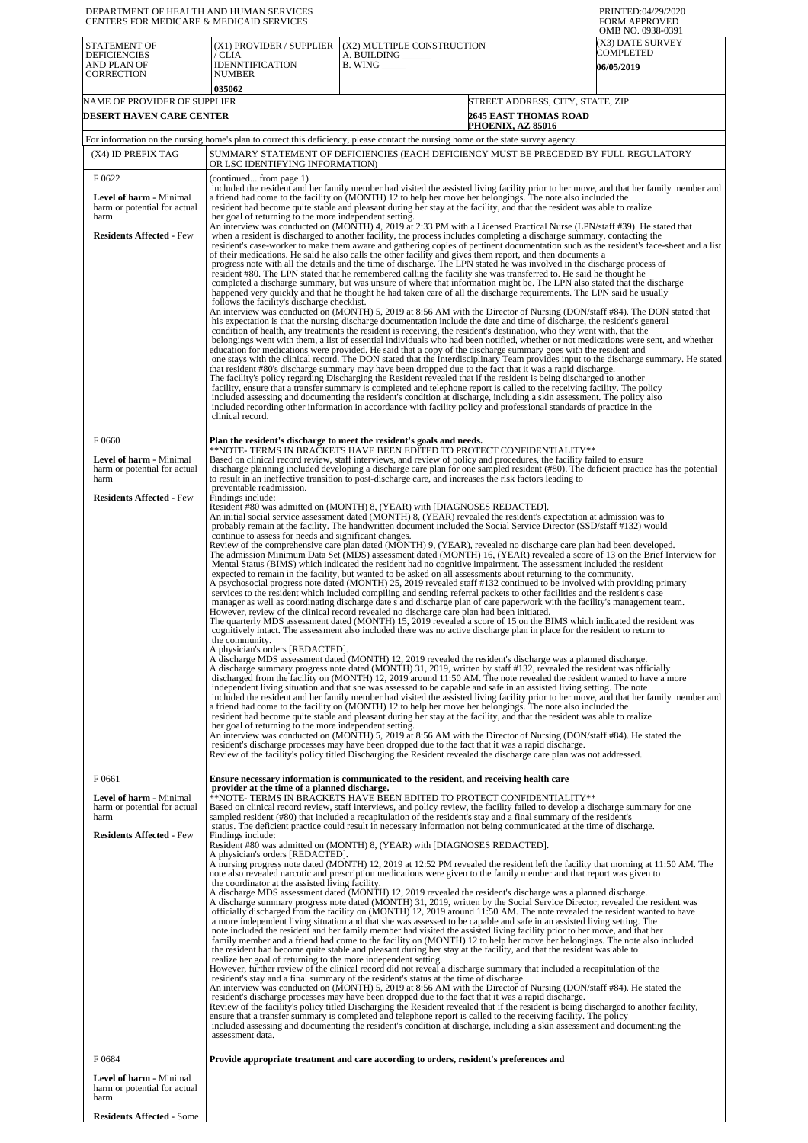| DEPARTMENT OF HEALTH AND HUMAN SERVICES<br><b>CENTERS FOR MEDICARE &amp; MEDICAID SERVICES</b>              |                                                                                                                                                                                                                                                 |                                                                                                                                                                                                                                                                                                                                                                                                                                                                                                                                                                                                                                                                                                                                                                                                                                                                                                                                                                                                                                                                                                                                                                                                                                                                                                                                                                                                                                                                                                                                                                                                                                                                                                                                                                                                                                                                                                                                                                                                                                                                                                                                                                                                                                                                                                                                                                                                                                                                                                      | PRINTED:04/29/2020<br><b>FORM APPROVED</b><br>OMB NO. 0938-0391                                                                                                                                                                                                                                                                                                                                                        |
|-------------------------------------------------------------------------------------------------------------|-------------------------------------------------------------------------------------------------------------------------------------------------------------------------------------------------------------------------------------------------|------------------------------------------------------------------------------------------------------------------------------------------------------------------------------------------------------------------------------------------------------------------------------------------------------------------------------------------------------------------------------------------------------------------------------------------------------------------------------------------------------------------------------------------------------------------------------------------------------------------------------------------------------------------------------------------------------------------------------------------------------------------------------------------------------------------------------------------------------------------------------------------------------------------------------------------------------------------------------------------------------------------------------------------------------------------------------------------------------------------------------------------------------------------------------------------------------------------------------------------------------------------------------------------------------------------------------------------------------------------------------------------------------------------------------------------------------------------------------------------------------------------------------------------------------------------------------------------------------------------------------------------------------------------------------------------------------------------------------------------------------------------------------------------------------------------------------------------------------------------------------------------------------------------------------------------------------------------------------------------------------------------------------------------------------------------------------------------------------------------------------------------------------------------------------------------------------------------------------------------------------------------------------------------------------------------------------------------------------------------------------------------------------------------------------------------------------------------------------------------------------|------------------------------------------------------------------------------------------------------------------------------------------------------------------------------------------------------------------------------------------------------------------------------------------------------------------------------------------------------------------------------------------------------------------------|
| STATEMENT OF<br><b>DEFICIENCIES</b><br>AND PLAN OF<br><b>CORRECTION</b>                                     | (X1) PROVIDER / SUPPLIER<br>/ CLIA<br><b>IDENNTIFICATION</b><br>NUMBER                                                                                                                                                                          | (X2) MULTIPLE CONSTRUCTION<br>A. BUILDING<br>$B.$ WING $\_\_\_\_\_\_\_\$                                                                                                                                                                                                                                                                                                                                                                                                                                                                                                                                                                                                                                                                                                                                                                                                                                                                                                                                                                                                                                                                                                                                                                                                                                                                                                                                                                                                                                                                                                                                                                                                                                                                                                                                                                                                                                                                                                                                                                                                                                                                                                                                                                                                                                                                                                                                                                                                                             | (X3) DATE SURVEY<br>COMPLETED<br><b>06/05/2019</b>                                                                                                                                                                                                                                                                                                                                                                     |
| NAME OF PROVIDER OF SUPPLIER                                                                                | 035062                                                                                                                                                                                                                                          |                                                                                                                                                                                                                                                                                                                                                                                                                                                                                                                                                                                                                                                                                                                                                                                                                                                                                                                                                                                                                                                                                                                                                                                                                                                                                                                                                                                                                                                                                                                                                                                                                                                                                                                                                                                                                                                                                                                                                                                                                                                                                                                                                                                                                                                                                                                                                                                                                                                                                                      | STREET ADDRESS, CITY, STATE, ZIP                                                                                                                                                                                                                                                                                                                                                                                       |
| DESERT HAVEN CARE CENTER                                                                                    |                                                                                                                                                                                                                                                 | PHOENIX, AZ 85016                                                                                                                                                                                                                                                                                                                                                                                                                                                                                                                                                                                                                                                                                                                                                                                                                                                                                                                                                                                                                                                                                                                                                                                                                                                                                                                                                                                                                                                                                                                                                                                                                                                                                                                                                                                                                                                                                                                                                                                                                                                                                                                                                                                                                                                                                                                                                                                                                                                                                    | <b>2645 EAST THOMAS ROAD</b>                                                                                                                                                                                                                                                                                                                                                                                           |
|                                                                                                             |                                                                                                                                                                                                                                                 | For information on the nursing home's plan to correct this deficiency, please contact the nursing home or the state survey agency.                                                                                                                                                                                                                                                                                                                                                                                                                                                                                                                                                                                                                                                                                                                                                                                                                                                                                                                                                                                                                                                                                                                                                                                                                                                                                                                                                                                                                                                                                                                                                                                                                                                                                                                                                                                                                                                                                                                                                                                                                                                                                                                                                                                                                                                                                                                                                                   |                                                                                                                                                                                                                                                                                                                                                                                                                        |
| (X4) ID PREFIX TAG                                                                                          | OR LSC IDENTIFYING INFORMATION)                                                                                                                                                                                                                 | SUMMARY STATEMENT OF DEFICIENCIES (EACH DEFICIENCY MUST BE PRECEDED BY FULL REGULATORY                                                                                                                                                                                                                                                                                                                                                                                                                                                                                                                                                                                                                                                                                                                                                                                                                                                                                                                                                                                                                                                                                                                                                                                                                                                                                                                                                                                                                                                                                                                                                                                                                                                                                                                                                                                                                                                                                                                                                                                                                                                                                                                                                                                                                                                                                                                                                                                                               |                                                                                                                                                                                                                                                                                                                                                                                                                        |
| F0622<br><b>Level of harm - Minimal</b><br>harm or potential for actual<br>harm                             | (continued from page 1)<br>her goal of returning to the more independent setting.                                                                                                                                                               | a friend had come to the facility on (MONTH) 12 to help her move her belongings. The note also included the<br>resident had become quite stable and pleasant during her stay at the facility, and that the resident was able to realize                                                                                                                                                                                                                                                                                                                                                                                                                                                                                                                                                                                                                                                                                                                                                                                                                                                                                                                                                                                                                                                                                                                                                                                                                                                                                                                                                                                                                                                                                                                                                                                                                                                                                                                                                                                                                                                                                                                                                                                                                                                                                                                                                                                                                                                              | included the resident and her family member had visited the assisted living facility prior to her move, and that her family member and                                                                                                                                                                                                                                                                                 |
| <b>Residents Affected - Few</b>                                                                             | follows the facility's discharge checklist.<br>clinical record.                                                                                                                                                                                 | An interview was conducted on (MONTH) 4, 2019 at 2:33 PM with a Licensed Practical Nurse (LPN/staff #39). He stated that<br>when a resident is discharged to another facility, the process includes completing a discharge summary, contacting the<br>of their medications. He said he also calls the other facility and gives them report, and then documents a<br>progress note with all the details and the time of discharge. The LPN stated he was involved in the discharge process of<br>resident #80. The LPN stated that he remembered calling the facility she was transferred to. He said he thought he<br>completed a discharge summary, but was unsure of where that information might be. The LPN also stated that the discharge<br>happened very quickly and that he thought he had taken care of all the discharge requirements. The LPN said he usually<br>An interview was conducted on (MONTH) 5, 2019 at 8:56 AM with the Director of Nursing (DON/staff #84). The DON stated that<br>his expectation is that the nursing discharge documentation include the date and time of discharge, the resident's general<br>condition of health, any treatments the resident is receiving, the resident's destination, who they went with, that the<br>education for medications were provided. He said that a copy of the discharge summary goes with the resident and<br>that resident #80's discharge summary may have been dropped due to the fact that it was a rapid discharge.<br>The facility's policy regarding Discharging the Resident revealed that if the resident is being discharged to another<br>facility, ensure that a transfer summary is completed and telephone report is called to the receiving facility. The policy<br>included assessing and documenting the resident's condition at discharge, including a skin assessment. The policy also<br>included recording other information in accordance with facility policy and professional standards of practice in the                                                                                                                                                                                                                                                                                                                                                                                                                                                                                          | resident's case-worker to make them aware and gathering copies of pertinent documentation such as the resident's face-sheet and a list<br>belongings went with them, a list of essential individuals who had been notified, whether or not medications were sent, and whether<br>one stays with the clinical record. The DON stated that the Interdisciplinary Team provides input to the discharge summary. He stated |
| F0660<br>Level of harm - Minimal<br>harm or potential for actual<br>harm<br><b>Residents Affected - Few</b> | preventable readmission.<br>Findings include:                                                                                                                                                                                                   | Plan the resident's discharge to meet the resident's goals and needs.<br>**NOTE- TERMS IN BRACKETS HAVE BEEN EDITED TO PROTECT CONFIDENTIALITY**<br>Based on clinical record review, staff interviews, and review of policy and procedures, the facility failed to ensure<br>to result in an ineffective transition to post-discharge care, and increases the risk factors leading to<br>Resident #80 was admitted on (MONTH) 8, (YEAR) with [DIAGNOSES REDACTED].                                                                                                                                                                                                                                                                                                                                                                                                                                                                                                                                                                                                                                                                                                                                                                                                                                                                                                                                                                                                                                                                                                                                                                                                                                                                                                                                                                                                                                                                                                                                                                                                                                                                                                                                                                                                                                                                                                                                                                                                                                   | discharge planning included developing a discharge care plan for one sampled resident (#80). The deficient practice has the potential                                                                                                                                                                                                                                                                                  |
|                                                                                                             | continue to assess for needs and significant changes.<br>the community.<br>A physician's orders [REDACTED].<br>her goal of returning to the more independent setting.                                                                           | An initial social service assessment dated (MONTH) 8, (YEAR) revealed the resident's expectation at admission was to<br>probably remain at the facility. The handwritten document included the Social Service Director (SSD/staff #132) would<br>Review of the comprehensive care plan dated (MONTH) 9, (YEAR), revealed no discharge care plan had been developed.<br>Mental Status (BIMS) which indicated the resident had no cognitive impairment. The assessment included the resident<br>expected to remain in the facility, but wanted to be asked on all assessments about returning to the community.<br>A psychosocial progress note dated (MONTH) 25, 2019 revealed staff #132 continued to be involved with providing primary<br>services to the resident which included compiling and sending referral packets to other facilities and the resident's case<br>manager as well as coordinating discharge date s and discharge plan of care paperwork with the facility's management team.<br>However, review of the clinical record revealed no discharge care plan had been initiated.<br>The quarterly MDS assessment dated (MONTH) 15, 2019 revealed a score of 15 on the BIMS which indicated the resident was<br>cognitively intact. The assessment also included there was no active discharge plan in place for the resident to return to<br>A discharge MDS assessment dated (MONTH) 12, 2019 revealed the resident's discharge was a planned discharge.<br>A discharge summary progress note dated (MÓNTH) 31, 2019, written by staff #132, revealed the resident was officially<br>discharged from the facility on (MONTH) 12, 2019 around 11:50 AM. The note revealed the resident wanted to have a more<br>independent living situation and that she was assessed to be capable and safe in an assisted living setting. The note<br>a friend had come to the facility on (MONTH) 12 to help her move her belongings. The note also included the<br>resident had become quite stable and pleasant during her stay at the facility, and that the resident was able to realize<br>An interview was conducted on (MONTH) 5, 2019 at 8:56 AM with the Director of Nursing (DON/staff #84). He stated the<br>resident's discharge processes may have been dropped due to the fact that it was a rapid discharge.<br>Review of the facility's policy titled Discharging the Resident revealed the discharge care plan was not addressed.                                             | The admission Minimum Data Set (MDS) assessment dated (MONTH) 16, (YEAR) revealed a score of 13 on the Brief Interview for<br>included the resident and her family member had visited the assisted living facility prior to her move, and that her family member and                                                                                                                                                   |
| F0661<br>Level of harm - Minimal<br>harm or potential for actual<br>harm<br><b>Residents Affected - Few</b> | provider at the time of a planned discharge.<br>Findings include:<br>A physician's orders [REDACTED].<br>the coordinator at the assisted living facility.<br>realize her goal of returning to the more independent setting.<br>assessment data. | Ensure necessary information is communicated to the resident, and receiving health care<br>**NOTE- TERMS IN BRACKETS HAVE BEEN EDITED TO PROTECT CONFIDENTIALITY**<br>Based on clinical record review, staff interviews, and policy review, the facility failed to develop a discharge summary for one<br>sampled resident (#80) that included a recapitulation of the resident's stay and a final summary of the resident's<br>status. The deficient practice could result in necessary information not being communicated at the time of discharge.<br>Resident #80 was admitted on (MONTH) 8, (YEAR) with [DIAGNOSES REDACTED].<br>note also revealed narcotic and prescription medications were given to the family member and that report was given to<br>A discharge MDS assessment dated (MONTH) 12, 2019 revealed the resident's discharge was a planned discharge.<br>A discharge summary progress note dated (MONTH) 31, 2019, written by the Social Service Director, revealed the resident was<br>officially discharged from the facility on (MONTH) 12, 2019 around 11:50 AM. The note revealed the resident wanted to have<br>a more independent living situation and that she was assessed to be capable and safe in an assisted living setting. The<br>note included the resident and her family member had visited the assisted living facility prior to her move, and that her<br>family member and a friend had come to the facility on (MONTH) 12 to help her move her belongings. The note also included<br>the resident had become quite stable and pleasant during her stay at the facility, and that the resident was able to<br>However, further review of the clinical record did not reveal a discharge summary that included a recapitulation of the<br>resident's stay and a final summary of the resident's status at the time of discharge.<br>An interview was conducted on (MONTH) 5, 2019 at 8:56 AM with the Director of Nursing (DON/staff #84). He stated the<br>resident's discharge processes may have been dropped due to the fact that it was a rapid discharge.<br>Review of the facility's policy titled Discharging the Resident revealed that if the resident is being discharged to another facility,<br>ensure that a transfer summary is completed and telephone report is called to the receiving facility. The policy<br>included assessing and documenting the resident's condition at discharge, including a skin assessment and documenting the | A nursing progress note dated (MONTH) 12, 2019 at 12:52 PM revealed the resident left the facility that morning at 11:50 AM. The                                                                                                                                                                                                                                                                                       |
| F0684                                                                                                       |                                                                                                                                                                                                                                                 | Provide appropriate treatment and care according to orders, resident's preferences and                                                                                                                                                                                                                                                                                                                                                                                                                                                                                                                                                                                                                                                                                                                                                                                                                                                                                                                                                                                                                                                                                                                                                                                                                                                                                                                                                                                                                                                                                                                                                                                                                                                                                                                                                                                                                                                                                                                                                                                                                                                                                                                                                                                                                                                                                                                                                                                                               |                                                                                                                                                                                                                                                                                                                                                                                                                        |
| Level of harm - Minimal<br>harm or potential for actual<br>harm                                             |                                                                                                                                                                                                                                                 |                                                                                                                                                                                                                                                                                                                                                                                                                                                                                                                                                                                                                                                                                                                                                                                                                                                                                                                                                                                                                                                                                                                                                                                                                                                                                                                                                                                                                                                                                                                                                                                                                                                                                                                                                                                                                                                                                                                                                                                                                                                                                                                                                                                                                                                                                                                                                                                                                                                                                                      |                                                                                                                                                                                                                                                                                                                                                                                                                        |
| <b>Residents Affected - Some</b>                                                                            |                                                                                                                                                                                                                                                 |                                                                                                                                                                                                                                                                                                                                                                                                                                                                                                                                                                                                                                                                                                                                                                                                                                                                                                                                                                                                                                                                                                                                                                                                                                                                                                                                                                                                                                                                                                                                                                                                                                                                                                                                                                                                                                                                                                                                                                                                                                                                                                                                                                                                                                                                                                                                                                                                                                                                                                      |                                                                                                                                                                                                                                                                                                                                                                                                                        |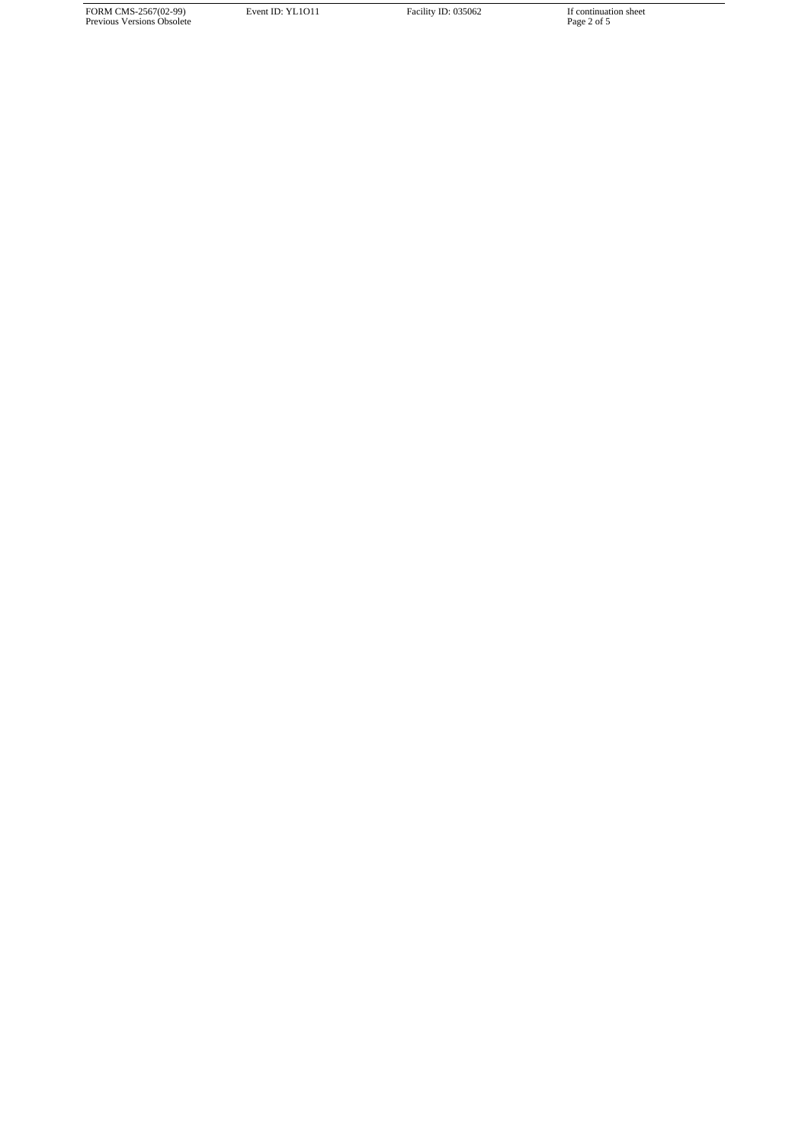FORM CMS-2567(02-99) Previous Versions Obsolete

Event ID: YL1O11 Facility ID: 035062 If continuation sheet<br>Page 2 of 5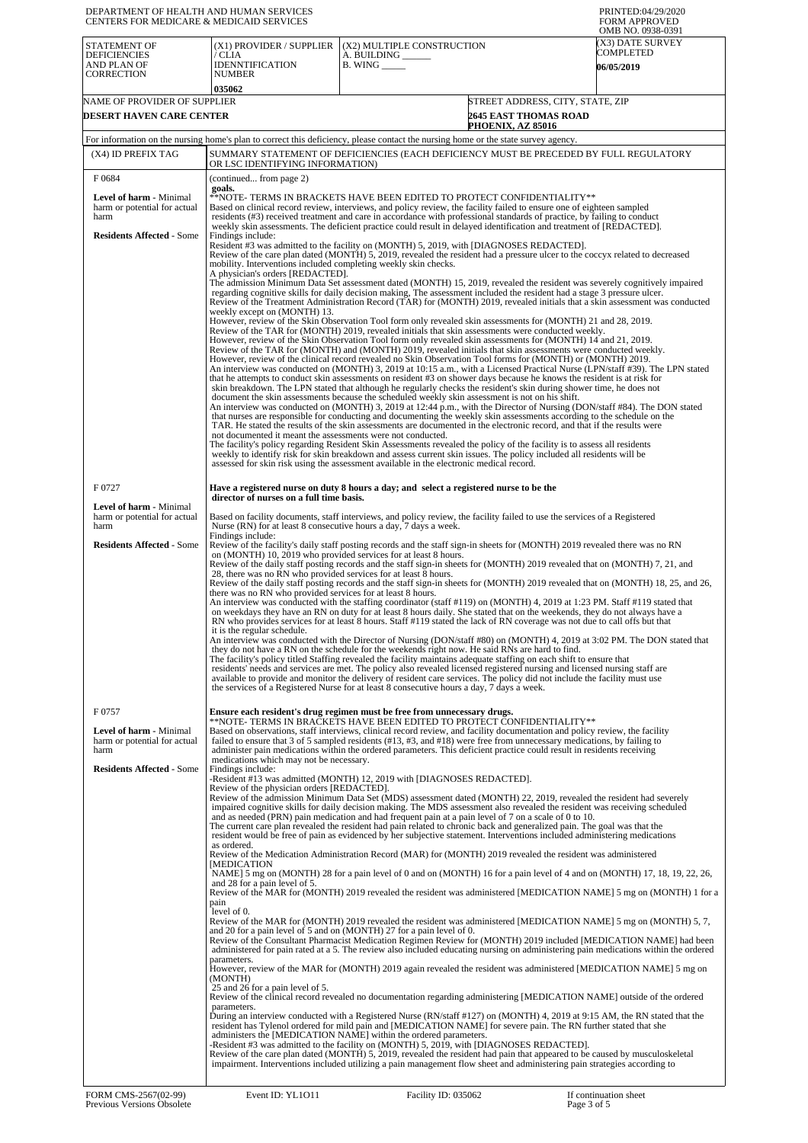| DEPARTMENT OF HEALTH AND HUMAN SERVICES<br>CENTERS FOR MEDICARE & MEDICAID SERVICES                                 |                                                                                                                                                                                                                                                                                                                            |                                                                                                                                                                                                                                                                                                                                                                                                                                                                                                                                                                                                                                                                                                                                                                                                                                                                                                                                                                                                                                                                                                                                                                                                                                                                                                                                                                                                                                                                                                                                                                                                                                                                                                                                                                                                                                                                                                                                                                                                                                                                                                                                                                                                                                                                                                                                                                                                                                                                                                                                                                                                                                                                                                                                                                                                                                                                                                                                                                                                        | PRINTED:04/29/2020<br><b>FORM APPROVED</b><br>OMB NO. 0938-0391 |
|---------------------------------------------------------------------------------------------------------------------|----------------------------------------------------------------------------------------------------------------------------------------------------------------------------------------------------------------------------------------------------------------------------------------------------------------------------|--------------------------------------------------------------------------------------------------------------------------------------------------------------------------------------------------------------------------------------------------------------------------------------------------------------------------------------------------------------------------------------------------------------------------------------------------------------------------------------------------------------------------------------------------------------------------------------------------------------------------------------------------------------------------------------------------------------------------------------------------------------------------------------------------------------------------------------------------------------------------------------------------------------------------------------------------------------------------------------------------------------------------------------------------------------------------------------------------------------------------------------------------------------------------------------------------------------------------------------------------------------------------------------------------------------------------------------------------------------------------------------------------------------------------------------------------------------------------------------------------------------------------------------------------------------------------------------------------------------------------------------------------------------------------------------------------------------------------------------------------------------------------------------------------------------------------------------------------------------------------------------------------------------------------------------------------------------------------------------------------------------------------------------------------------------------------------------------------------------------------------------------------------------------------------------------------------------------------------------------------------------------------------------------------------------------------------------------------------------------------------------------------------------------------------------------------------------------------------------------------------------------------------------------------------------------------------------------------------------------------------------------------------------------------------------------------------------------------------------------------------------------------------------------------------------------------------------------------------------------------------------------------------------------------------------------------------------------------------------------------------|-----------------------------------------------------------------|
| STATEMENT OF<br><b>DEFICIENCIES</b><br>AND PLAN OF<br><b>CORRECTION</b>                                             | (X1) PROVIDER / SUPPLIER<br>/ CLIA<br><b>IDENNTIFICATION</b><br>NUMBER<br>035062                                                                                                                                                                                                                                           | (X2) MULTIPLE CONSTRUCTION<br>A. BUILDING _<br>$B.$ WING $\_\_\_\_\_\_\_\$                                                                                                                                                                                                                                                                                                                                                                                                                                                                                                                                                                                                                                                                                                                                                                                                                                                                                                                                                                                                                                                                                                                                                                                                                                                                                                                                                                                                                                                                                                                                                                                                                                                                                                                                                                                                                                                                                                                                                                                                                                                                                                                                                                                                                                                                                                                                                                                                                                                                                                                                                                                                                                                                                                                                                                                                                                                                                                                             | (X3) DATE SURVEY<br>COMPLETED<br><b>06/05/2019</b>              |
| NAME OF PROVIDER OF SUPPLIER<br>DESERT HAVEN CARE CENTER                                                            |                                                                                                                                                                                                                                                                                                                            | <b>2645 EAST THOMAS ROAD</b><br>PHOENIX, AZ 85016                                                                                                                                                                                                                                                                                                                                                                                                                                                                                                                                                                                                                                                                                                                                                                                                                                                                                                                                                                                                                                                                                                                                                                                                                                                                                                                                                                                                                                                                                                                                                                                                                                                                                                                                                                                                                                                                                                                                                                                                                                                                                                                                                                                                                                                                                                                                                                                                                                                                                                                                                                                                                                                                                                                                                                                                                                                                                                                                                      | STREET ADDRESS, CITY, STATE, ZIP                                |
| (X4) ID PREFIX TAG                                                                                                  |                                                                                                                                                                                                                                                                                                                            | For information on the nursing home's plan to correct this deficiency, please contact the nursing home or the state survey agency.<br>SUMMARY STATEMENT OF DEFICIENCIES (EACH DEFICIENCY MUST BE PRECEDED BY FULL REGULATORY                                                                                                                                                                                                                                                                                                                                                                                                                                                                                                                                                                                                                                                                                                                                                                                                                                                                                                                                                                                                                                                                                                                                                                                                                                                                                                                                                                                                                                                                                                                                                                                                                                                                                                                                                                                                                                                                                                                                                                                                                                                                                                                                                                                                                                                                                                                                                                                                                                                                                                                                                                                                                                                                                                                                                                           |                                                                 |
| F0684                                                                                                               | OR LSC IDENTIFYING INFORMATION)                                                                                                                                                                                                                                                                                            |                                                                                                                                                                                                                                                                                                                                                                                                                                                                                                                                                                                                                                                                                                                                                                                                                                                                                                                                                                                                                                                                                                                                                                                                                                                                                                                                                                                                                                                                                                                                                                                                                                                                                                                                                                                                                                                                                                                                                                                                                                                                                                                                                                                                                                                                                                                                                                                                                                                                                                                                                                                                                                                                                                                                                                                                                                                                                                                                                                                                        |                                                                 |
| <b>Level of harm - Minimal</b><br>harm or potential for actual<br>harm<br><b>Residents Affected - Some</b>          | (continued from page 2)<br>goals.<br>Findings include:                                                                                                                                                                                                                                                                     | **NOTE- TERMS IN BRACKETS HAVE BEEN EDITED TO PROTECT CONFIDENTIALITY**<br>Based on clinical record review, interviews, and policy review, the facility failed to ensure one of eighteen sampled<br>residents (#3) received treatment and care in accordance with professional standards of practice, by failing to conduct<br>weekly skin assessments. The deficient practice could result in delayed identification and treatment of [REDACTED].                                                                                                                                                                                                                                                                                                                                                                                                                                                                                                                                                                                                                                                                                                                                                                                                                                                                                                                                                                                                                                                                                                                                                                                                                                                                                                                                                                                                                                                                                                                                                                                                                                                                                                                                                                                                                                                                                                                                                                                                                                                                                                                                                                                                                                                                                                                                                                                                                                                                                                                                                     |                                                                 |
|                                                                                                                     | mobility. Interventions included completing weekly skin checks.<br>A physician's orders [REDACTED].<br>weekly except on (MONTH) 13.<br>not documented it meant the assessments were not conducted.                                                                                                                         | Resident #3 was admitted to the facility on (MONTH) 5, 2019, with [DIAGNOSES REDACTED].<br>Review of the care plan dated (MONTH) 5, 2019, revealed the resident had a pressure ulcer to the coccyx related to decreased<br>The admission Minimum Data Set assessment dated (MONTH) 15, 2019, revealed the resident was severely cognitively impaired<br>regarding cognitive skills for daily decision making, The assessment included the resident had a stage 3 pressure ulcer.<br>Review of the Treatment Administration Record (TAR) for (MONTH) 2019, revealed initials that a skin assessment was conducted<br>However, review of the Skin Observation Tool form only revealed skin assessments for (MONTH) 21 and 28, 2019.<br>Review of the TAR for (MONTH) 2019, revealed initials that skin assessments were conducted weekly.<br>However, review of the Skin Observation Tool form only revealed skin assessments for (MONTH) 14 and 21, 2019.<br>Review of the TAR for (MONTH) and (MONTH) 2019, revealed initials that skin assessments were conducted weekly.<br>However, review of the clinical record revealed no Skin Observation Tool forms for (MONTH) or (MONTH) 2019.<br>An interview was conducted on (MONTH) 3, 2019 at 10:15 a.m., with a Licensed Practical Nurse (LPN/staff #39). The LPN stated<br>that he attempts to conduct skin assessments on resident #3 on shower days because he knows the resident is at risk for<br>skin breakdown. The LPN stated that although he regularly checks the resident's skin during shower time, he does not<br>document the skin assessments because the scheduled weekly skin assessment is not on his shift.<br>An interview was conducted on (MONTH) 3, 2019 at 12:44 p.m., with the Director of Nursing (DON/staff #84). The DON stated<br>that nurses are responsible for conducting and documenting the weekly skin assessments according to the schedule on the<br>TAR. He stated the results of the skin assessments are documented in the electronic record, and that if the results were<br>The facility's policy regarding Resident Skin Assessments revealed the policy of the facility is to assess all residents<br>weekly to identify risk for skin breakdown and assess current skin issues. The policy included all residents will be<br>assessed for skin risk using the assessment available in the electronic medical record.                                                                                                                                                                                                                                                                                                                                                                                                                                                                                                                                                                                     |                                                                 |
| F0727                                                                                                               |                                                                                                                                                                                                                                                                                                                            | Have a registered nurse on duty 8 hours a day; and select a registered nurse to be the                                                                                                                                                                                                                                                                                                                                                                                                                                                                                                                                                                                                                                                                                                                                                                                                                                                                                                                                                                                                                                                                                                                                                                                                                                                                                                                                                                                                                                                                                                                                                                                                                                                                                                                                                                                                                                                                                                                                                                                                                                                                                                                                                                                                                                                                                                                                                                                                                                                                                                                                                                                                                                                                                                                                                                                                                                                                                                                 |                                                                 |
| Level of harm - Minimal<br>harm or potential for actual                                                             | director of nurses on a full time basis.                                                                                                                                                                                                                                                                                   | Based on facility documents, staff interviews, and policy review, the facility failed to use the services of a Registered                                                                                                                                                                                                                                                                                                                                                                                                                                                                                                                                                                                                                                                                                                                                                                                                                                                                                                                                                                                                                                                                                                                                                                                                                                                                                                                                                                                                                                                                                                                                                                                                                                                                                                                                                                                                                                                                                                                                                                                                                                                                                                                                                                                                                                                                                                                                                                                                                                                                                                                                                                                                                                                                                                                                                                                                                                                                              |                                                                 |
| harm<br><b>Residents Affected - Some</b>                                                                            | Nurse (RN) for at least 8 consecutive hours a day, 7 days a week.<br>Findings include:<br>on (MONTH) 10, 2019 who provided services for at least 8 hours.<br>28, there was no RN who provided services for at least 8 hours.<br>there was no RN who provided services for at least 8 hours.<br>it is the regular schedule. | Review of the facility's daily staff posting records and the staff sign-in sheets for (MONTH) 2019 revealed there was no RN<br>Review of the daily staff posting records and the staff sign-in sheets for (MONTH) 2019 revealed that on (MONTH) 7, 21, and<br>Review of the daily staff posting records and the staff sign-in sheets for (MONTH) 2019 revealed that on (MONTH) 18, 25, and 26,<br>An interview was conducted with the staffing coordinator (staff #119) on (MONTH) 4, 2019 at 1:23 PM. Staff #119 stated that<br>on weekdays they have an RN on duty for at least 8 hours daily. She stated that on the weekends, they do not always have a<br>RN who provides services for at least 8 hours. Staff #119 stated the lack of RN coverage was not due to call offs but that<br>An interview was conducted with the Director of Nursing (DON/staff #80) on (MONTH) 4, 2019 at 3:02 PM. The DON stated that<br>they do not have a RN on the schedule for the weekends right now. He said RNs are hard to find.<br>The facility's policy titled Staffing revealed the facility maintains adequate staffing on each shift to ensure that<br>residents' needs and services are met. The policy also revealed licensed registered nursing and licensed nursing staff are<br>available to provide and monitor the delivery of resident care services. The policy did not include the facility must use<br>the services of a Registered Nurse for at least 8 consecutive hours a day, 7 days a week.                                                                                                                                                                                                                                                                                                                                                                                                                                                                                                                                                                                                                                                                                                                                                                                                                                                                                                                                                                                                                                                                                                                                                                                                                                                                                                                                                                                                                                                                                             |                                                                 |
| F0757<br><b>Level of harm - Minimal</b><br>harm or potential for actual<br>harm<br><b>Residents Affected - Some</b> | medications which may not be necessary.<br>Findings include:<br>Review of the physician orders [REDACTED].<br>as ordered.<br><b>IMEDICATION</b><br>and 28 for a pain level of 5.<br>pain<br>level of 0.<br>parameters.<br>(MONTH)<br>25 and 26 for a pain level of 5.<br>parameters.                                       | Ensure each resident's drug regimen must be free from unnecessary drugs.<br>**NOTE- TERMS IN BRAČKETS HAVE BEEN EDITED TO PROTECT ČONFIDENTIALITY**<br>Based on observations, staff interviews, clinical record review, and facility documentation and policy review, the facility<br>failed to ensure that 3 of 5 sampled residents (#13, #3, and #18) were free from unnecessary medications, by failing to<br>administer pain medications within the ordered parameters. This deficient practice could result in residents receiving<br>-Resident #13 was admitted (MONTH) 12, 2019 with [DIAGNOSES REDACTED].<br>Review of the admission Minimum Data Set (MDS) assessment dated (MONTH) 22, 2019, revealed the resident had severely<br>impaired cognitive skills for daily decision making. The MDS assessment also revealed the resident was receiving scheduled<br>and as needed (PRN) pain medication and had frequent pain at a pain level of 7 on a scale of 0 to 10.<br>The current care plan revealed the resident had pain related to chronic back and generalized pain. The goal was that the<br>resident would be free of pain as evidenced by her subjective statement. Interventions included administering medications<br>Review of the Medication Administration Record (MAR) for (MONTH) 2019 revealed the resident was administered<br>NAME 5 mg on (MONTH) 28 for a pain level of 0 and on (MONTH) 16 for a pain level of 4 and on (MONTH) 17, 18, 19, 22, 26,<br>Review of the MAR for (MONTH) 2019 revealed the resident was administered [MEDICATION NAME] 5 mg on (MONTH) 1 for a<br>Review of the MAR for (MONTH) 2019 revealed the resident was administered [MEDICATION NAME] 5 mg on (MONTH) 5,7,<br>and 20 for a pain level of 5 and on (MONTH) 27 for a pain level of 0.<br>Review of the Consultant Pharmacist Medication Regimen Review for (MONTH) 2019 included [MEDICATION NAME] had been<br>administered for pain rated at a 5. The review also included educating nursing on administering pain medications within the ordered<br>However, review of the MAR for (MONTH) 2019 again revealed the resident was administered [MEDICATION NAME] 5 mg on<br>Review of the clinical record revealed no documentation regarding administering [MEDICATION NAME] outside of the ordered<br>During an interview conducted with a Registered Nurse (RN/staff #127) on (MONTH) 4, 2019 at 9:15 AM, the RN stated that the<br>resident has Tylenol ordered for mild pain and [MEDICATION NAME] for severe pain. The RN further stated that she<br>administers the [MEDICATION NAME] within the ordered parameters.<br>-Resident #3 was admitted to the facility on (MONTH) 5, 2019, with [DIAGNOSES REDACTED].<br>Review of the care plan dated (MONTH) 5, 2019, revealed the resident had pain that appeared to be caused by musculoskeletal<br>impairment. Interventions included utilizing a pain management flow sheet and administering pain strategies according to |                                                                 |
| FORM CMS-2567(02-99)                                                                                                | Event ID: YL1011                                                                                                                                                                                                                                                                                                           | Facility ID: 035062                                                                                                                                                                                                                                                                                                                                                                                                                                                                                                                                                                                                                                                                                                                                                                                                                                                                                                                                                                                                                                                                                                                                                                                                                                                                                                                                                                                                                                                                                                                                                                                                                                                                                                                                                                                                                                                                                                                                                                                                                                                                                                                                                                                                                                                                                                                                                                                                                                                                                                                                                                                                                                                                                                                                                                                                                                                                                                                                                                                    | If continuation sheet                                           |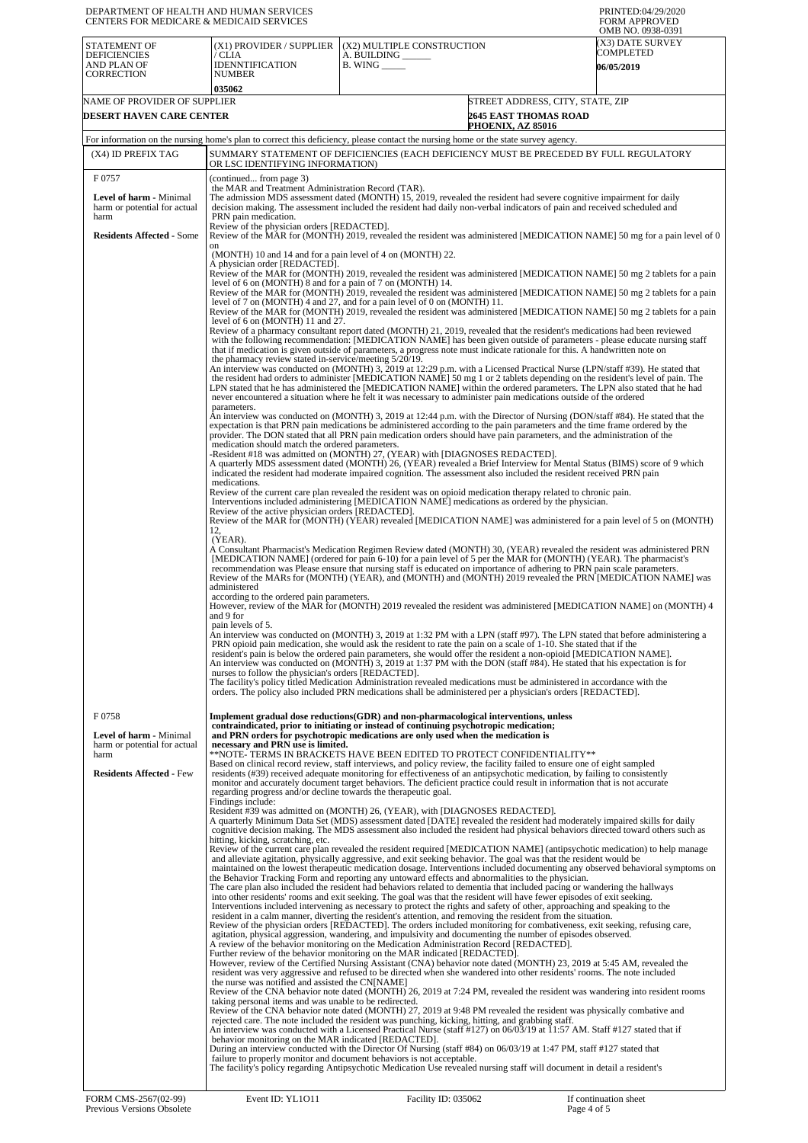| DEPARTMENT OF HEALTH AND HUMAN SERVICES<br>CENTERS FOR MEDICARE & MEDICAID SERVICES                 |                                                                                                                                                                                                                                                                                                                                                                                                                                                                                                                                                                           |                                                                                                                                                                                                                                                                                                                                                                                                                                                                                                                                                                                                                                                                                                                                                                                                                                                                                                                                                                                                                                                                                                                                                                                                                                                                                                                                                                                                                                                                                                                                                                                                                                                                                                                                                                                                                                                                                                                                                                                                                                                                                                                                                                                                                                                                                                                                                                                                                                                                                                                                                                                                                                                                                                                                                                                                                                                                                                                                                                                                                                                                                                                                                                                                                                                                                                                                                                                                                                                                                                                                                                                                                                                                                                                                                                                                       | PRINTED:04/29/2020<br><b>FORM APPROVED</b><br>OMB NO. 0938-0391 |
|-----------------------------------------------------------------------------------------------------|---------------------------------------------------------------------------------------------------------------------------------------------------------------------------------------------------------------------------------------------------------------------------------------------------------------------------------------------------------------------------------------------------------------------------------------------------------------------------------------------------------------------------------------------------------------------------|-------------------------------------------------------------------------------------------------------------------------------------------------------------------------------------------------------------------------------------------------------------------------------------------------------------------------------------------------------------------------------------------------------------------------------------------------------------------------------------------------------------------------------------------------------------------------------------------------------------------------------------------------------------------------------------------------------------------------------------------------------------------------------------------------------------------------------------------------------------------------------------------------------------------------------------------------------------------------------------------------------------------------------------------------------------------------------------------------------------------------------------------------------------------------------------------------------------------------------------------------------------------------------------------------------------------------------------------------------------------------------------------------------------------------------------------------------------------------------------------------------------------------------------------------------------------------------------------------------------------------------------------------------------------------------------------------------------------------------------------------------------------------------------------------------------------------------------------------------------------------------------------------------------------------------------------------------------------------------------------------------------------------------------------------------------------------------------------------------------------------------------------------------------------------------------------------------------------------------------------------------------------------------------------------------------------------------------------------------------------------------------------------------------------------------------------------------------------------------------------------------------------------------------------------------------------------------------------------------------------------------------------------------------------------------------------------------------------------------------------------------------------------------------------------------------------------------------------------------------------------------------------------------------------------------------------------------------------------------------------------------------------------------------------------------------------------------------------------------------------------------------------------------------------------------------------------------------------------------------------------------------------------------------------------------------------------------------------------------------------------------------------------------------------------------------------------------------------------------------------------------------------------------------------------------------------------------------------------------------------------------------------------------------------------------------------------------------------------------------------------------------------------------------------------------|-----------------------------------------------------------------|
| STATEMENT OF<br><b>DEFICIENCIES</b><br>AND PLAN OF<br><b>CORRECTION</b>                             | (X1) PROVIDER / SUPPLIER<br>/ CLIA<br><b>IDENNTIFICATION</b><br><b>NUMBER</b><br>035062                                                                                                                                                                                                                                                                                                                                                                                                                                                                                   | (X2) MULTIPLE CONSTRUCTION<br>A. BUILDING __<br>$B.$ WING $\_\_\_\_\_\_\_\$                                                                                                                                                                                                                                                                                                                                                                                                                                                                                                                                                                                                                                                                                                                                                                                                                                                                                                                                                                                                                                                                                                                                                                                                                                                                                                                                                                                                                                                                                                                                                                                                                                                                                                                                                                                                                                                                                                                                                                                                                                                                                                                                                                                                                                                                                                                                                                                                                                                                                                                                                                                                                                                                                                                                                                                                                                                                                                                                                                                                                                                                                                                                                                                                                                                                                                                                                                                                                                                                                                                                                                                                                                                                                                                           | (X3) DATE SURVEY<br>COMPLETED<br><b>06/05/2019</b>              |
| NAME OF PROVIDER OF SUPPLIER<br>DESERT HAVEN CARE CENTER                                            |                                                                                                                                                                                                                                                                                                                                                                                                                                                                                                                                                                           | <b>2645 EAST THOMAS ROAD</b><br>PHOENIX, AZ 85016                                                                                                                                                                                                                                                                                                                                                                                                                                                                                                                                                                                                                                                                                                                                                                                                                                                                                                                                                                                                                                                                                                                                                                                                                                                                                                                                                                                                                                                                                                                                                                                                                                                                                                                                                                                                                                                                                                                                                                                                                                                                                                                                                                                                                                                                                                                                                                                                                                                                                                                                                                                                                                                                                                                                                                                                                                                                                                                                                                                                                                                                                                                                                                                                                                                                                                                                                                                                                                                                                                                                                                                                                                                                                                                                                     | STREET ADDRESS, CITY, STATE, ZIP                                |
| (X4) ID PREFIX TAG                                                                                  |                                                                                                                                                                                                                                                                                                                                                                                                                                                                                                                                                                           | For information on the nursing home's plan to correct this deficiency, please contact the nursing home or the state survey agency.<br>SUMMARY STATEMENT OF DEFICIENCIES (EACH DEFICIENCY MUST BE PRECEDED BY FULL REGULATORY                                                                                                                                                                                                                                                                                                                                                                                                                                                                                                                                                                                                                                                                                                                                                                                                                                                                                                                                                                                                                                                                                                                                                                                                                                                                                                                                                                                                                                                                                                                                                                                                                                                                                                                                                                                                                                                                                                                                                                                                                                                                                                                                                                                                                                                                                                                                                                                                                                                                                                                                                                                                                                                                                                                                                                                                                                                                                                                                                                                                                                                                                                                                                                                                                                                                                                                                                                                                                                                                                                                                                                          |                                                                 |
| F0757                                                                                               | OR LSC IDENTIFYING INFORMATION)<br>(continued from page 3)                                                                                                                                                                                                                                                                                                                                                                                                                                                                                                                |                                                                                                                                                                                                                                                                                                                                                                                                                                                                                                                                                                                                                                                                                                                                                                                                                                                                                                                                                                                                                                                                                                                                                                                                                                                                                                                                                                                                                                                                                                                                                                                                                                                                                                                                                                                                                                                                                                                                                                                                                                                                                                                                                                                                                                                                                                                                                                                                                                                                                                                                                                                                                                                                                                                                                                                                                                                                                                                                                                                                                                                                                                                                                                                                                                                                                                                                                                                                                                                                                                                                                                                                                                                                                                                                                                                                       |                                                                 |
| Level of harm - Minimal<br>harm or potential for actual<br>harm<br><b>Residents Affected - Some</b> | the MAR and Treatment Administration Record (TAR).<br>PRN pain medication.<br>Review of the physician orders [REDACTED].                                                                                                                                                                                                                                                                                                                                                                                                                                                  | The admission MDS assessment dated (MONTH) 15, 2019, revealed the resident had severe cognitive impairment for daily<br>decision making. The assessment included the resident had daily non-verbal indicators of pain and received scheduled and<br>Review of the MAR for (MONTH) 2019, revealed the resident was administered [MEDICATION NAME] 50 mg for a pain level of 0                                                                                                                                                                                                                                                                                                                                                                                                                                                                                                                                                                                                                                                                                                                                                                                                                                                                                                                                                                                                                                                                                                                                                                                                                                                                                                                                                                                                                                                                                                                                                                                                                                                                                                                                                                                                                                                                                                                                                                                                                                                                                                                                                                                                                                                                                                                                                                                                                                                                                                                                                                                                                                                                                                                                                                                                                                                                                                                                                                                                                                                                                                                                                                                                                                                                                                                                                                                                                          |                                                                 |
|                                                                                                     | (MONTH) 10 and 14 and for a pain level of 4 on (MONTH) 22.<br>A physician order [REDACTED].<br>level of 6 on (MONTH) 8 and for a pain of 7 on (MONTH) 14.<br>level of 6 on (MONTH) 11 and 27.<br>the pharmacy review stated in-service/meeting 5/20/19.<br>parameters.<br>medication should match the ordered parameters.<br>medications.<br>Review of the active physician orders [REDACTED].<br>12,<br>$(YEAR)$ .<br>administered<br>according to the ordered pain parameters.<br>and 9 for<br>pain levels of 5.<br>nurses to follow the physician's orders [REDACTED]. | Review of the MAR for (MONTH) 2019, revealed the resident was administered [MEDICATION NAME] 50 mg 2 tablets for a pain<br>Review of the MAR for (MONTH) 2019, revealed the resident was administered [MEDICATION NAME] 50 mg 2 tablets for a pain<br>level of 7 on (MONTH) 4 and 27, and for a pain level of 0 on (MONTH) 11.<br>Review of the MAR for (MONTH) 2019, revealed the resident was administered [MEDICATION NAME] 50 mg 2 tablets for a pain<br>Review of a pharmacy consultant report dated (MONTH) 21, 2019, revealed that the resident's medications had been reviewed<br>with the following recommendation: [MEDICATION NAME] has been given outside of parameters - please educate nursing staff<br>that if medication is given outside of parameters, a progress note must indicate rationale for this. A handwritten note on<br>An interview was conducted on (MONTH) 3, 2019 at 12:29 p.m. with a Licensed Practical Nurse (LPN/staff #39). He stated that<br>the resident had orders to administer [MEDICATION NAME] 50 mg 1 or 2 tablets depending on the resident's level of pain. The<br>LPN stated that he has administered the [MEDICATION NAME] within the ordered parameters. The LPN also stated that he had<br>never encountered a situation where he felt it was necessary to administer pain medications outside of the ordered<br>An interview was conducted on (MONTH) 3, 2019 at 12:44 p.m. with the Director of Nursing (DON/staff #84). He stated that the<br>expectation is that PRN pain medications be administered according to the pain parameters and the time frame ordered by the<br>provider. The DON stated that all PRN pain medication orders should have pain parameters, and the administration of the<br>-Resident #18 was admitted on (MONTH) 27, (YEAR) with [DIAGNOSES REDACTED].<br>A quarterly MDS assessment dated (MONTH) 26, (YEAR) revealed a Brief Interview for Mental Status (BIMS) score of 9 which<br>indicated the resident had moderate impaired cognition. The assessment also included the resident received PRN pain<br>Review of the current care plan revealed the resident was on opioid medication therapy related to chronic pain.<br>Interventions included administering [MEDICATION NAME] medications as ordered by the physician.<br>Review of the MAR for (MONTH) (YEAR) revealed [MEDICATION NAME] was administered for a pain level of 5 on (MONTH)<br>A Consultant Pharmacist's Medication Regimen Review dated (MONTH) 30, (YEAR) revealed the resident was administered PRN<br>[MEDICATION NAME] (ordered for pain 6-10) for a pain level of 5 per the MAR for (MONTH) (YEAR). The pharmacist's<br>recommendation was Please ensure that nursing staff is educated on importance of adhering to PRN pain scale parameters.<br>Review of the MARs for (MONTH) (YEAR), and (MONTH) and (MONTH) 2019 revealed the PRN [MEDICATION NAME] was<br>However, review of the MAR for (MONTH) 2019 revealed the resident was administered [MEDICATION NAME] on (MONTH) 4<br>An interview was conducted on (MONTH) 3, 2019 at 1:32 PM with a LPN (staff #97). The LPN stated that before administering a<br>PRN opioid pain medication, she would ask the resident to rate the pain on a scale of 1-10. She stated that if the<br>resident's pain is below the ordered pain parameters, she would offer the resident a non-opioid [MEDICATION NAME].<br>An interview was conducted on (MONTH) 3, 2019 at 1:37 PM with the DON (staff #84). He stated that his expectation is for<br>The facility's policy titled Medication Administration revealed medications must be administered in accordance with the<br>orders. The policy also included PRN medications shall be administered per a physician's orders [REDACTED]. |                                                                 |
| F0758<br><b>Level of harm - Minimal</b><br>harm or potential for actual<br>harm                     | necessary and PRN use is limited.                                                                                                                                                                                                                                                                                                                                                                                                                                                                                                                                         | Implement gradual dose reductions (GDR) and non-pharmacological interventions, unless<br>contraindicated, prior to initiating or instead of continuing psychotropic medication;<br>and PRN orders for psychotropic medications are only used when the medication is<br>**NOTE- TERMS IN BRACKETS HAVE BEEN EDITED TO PROTECT CONFIDENTIALITY**<br>Based on clinical record review, staff interviews, and policy review, the facility failed to ensure one of eight sampled                                                                                                                                                                                                                                                                                                                                                                                                                                                                                                                                                                                                                                                                                                                                                                                                                                                                                                                                                                                                                                                                                                                                                                                                                                                                                                                                                                                                                                                                                                                                                                                                                                                                                                                                                                                                                                                                                                                                                                                                                                                                                                                                                                                                                                                                                                                                                                                                                                                                                                                                                                                                                                                                                                                                                                                                                                                                                                                                                                                                                                                                                                                                                                                                                                                                                                                            |                                                                 |
| <b>Residents Affected - Few</b>                                                                     | regarding progress and/or decline towards the therapeutic goal.<br>Findings include:<br>hitting, kicking, scratching, etc.                                                                                                                                                                                                                                                                                                                                                                                                                                                | residents (#39) received adequate monitoring for effectiveness of an antipsychotic medication, by failing to consistently<br>monitor and accurately document target behaviors. The deficient practice could result in information that is not accurate<br>Resident #39 was admitted on (MONTH) 26, (YEAR), with [DIAGNOSES REDACTED].<br>A quarterly Minimum Data Set (MDS) assessment dated [DATE] revealed the resident had moderately impaired skills for daily<br>cognitive decision making. The MDS assessment also included the resident had physical behaviors directed toward others such as<br>Review of the current care plan revealed the resident required [MEDICATION NAME] (antipsychotic medication) to help manage<br>and alleviate agitation, physically aggressive, and exit seeking behavior. The goal was that the resident would be<br>maintained on the lowest therapeutic medication dosage. Interventions included documenting any observed behavioral symptoms on<br>the Behavior Tracking Form and reporting any untoward effects and abnormalities to the physician.<br>The care plan also included the resident had behaviors related to dementia that included pacing or wandering the hallways<br>into other residents' rooms and exit seeking. The goal was that the resident will have fewer episodes of exit seeking.<br>Interventions included intervening as necessary to protect the rights and safety of other, approaching and speaking to the<br>resident in a calm manner, diverting the resident's attention, and removing the resident from the situation.<br>Review of the physician orders [REDACTED]. The orders included monitoring for combativeness, exit seeking, refusing care,                                                                                                                                                                                                                                                                                                                                                                                                                                                                                                                                                                                                                                                                                                                                                                                                                                                                                                                                                                                                                                                                                                                                                                                                                                                                                                                                                                                                                                                                                                                                                                                                                                                                                                                                                                                                                                                                                                                                                                                                                                                                     |                                                                 |
|                                                                                                     | the nurse was notified and assisted the CN[NAME]<br>taking personal items and was unable to be redirected.<br>behavior monitoring on the MAR indicated [REDACTED].                                                                                                                                                                                                                                                                                                                                                                                                        | agitation, physical aggression, wandering, and impulsivity and documenting the number of episodes observed.<br>A review of the behavior monitoring on the Medication Administration Record [REDACTED].<br>Further review of the behavior monitoring on the MAR indicated [REDACTED].<br>However, review of the Certified Nursing Assistant (CNA) behavior note dated (MONTH) 23, 2019 at 5:45 AM, revealed the<br>resident was very aggressive and refused to be directed when she wandered into other residents' rooms. The note included<br>Review of the CNA behavior note dated (MONTH) 26, 2019 at 7:24 PM, revealed the resident was wandering into resident rooms<br>Review of the CNA behavior note dated (MONTH) 27, 2019 at 9:48 PM revealed the resident was physically combative and<br>rejected care. The note included the resident was punching, kicking, hitting, and grabbing staff.<br>An interview was conducted with a Licensed Practical Nurse (staff #127) on 06/03/19 at 11:57 AM. Staff #127 stated that if<br>During an interview conducted with the Director Of Nursing (staff #84) on 06/03/19 at 1:47 PM, staff #127 stated that<br>failure to properly monitor and document behaviors is not acceptable.<br>The facility's policy regarding Antipsychotic Medication Use revealed nursing staff will document in detail a resident's                                                                                                                                                                                                                                                                                                                                                                                                                                                                                                                                                                                                                                                                                                                                                                                                                                                                                                                                                                                                                                                                                                                                                                                                                                                                                                                                                                                                                                                                                                                                                                                                                                                                                                                                                                                                                                                                                                                                                                                                                                                                                                                                                                                                                                                                                                                                                                                                                                     |                                                                 |
| FORM CMS-2567(02-99)                                                                                | Event ID: YL1011                                                                                                                                                                                                                                                                                                                                                                                                                                                                                                                                                          | Facility ID: 035062                                                                                                                                                                                                                                                                                                                                                                                                                                                                                                                                                                                                                                                                                                                                                                                                                                                                                                                                                                                                                                                                                                                                                                                                                                                                                                                                                                                                                                                                                                                                                                                                                                                                                                                                                                                                                                                                                                                                                                                                                                                                                                                                                                                                                                                                                                                                                                                                                                                                                                                                                                                                                                                                                                                                                                                                                                                                                                                                                                                                                                                                                                                                                                                                                                                                                                                                                                                                                                                                                                                                                                                                                                                                                                                                                                                   | If continuation sheet                                           |